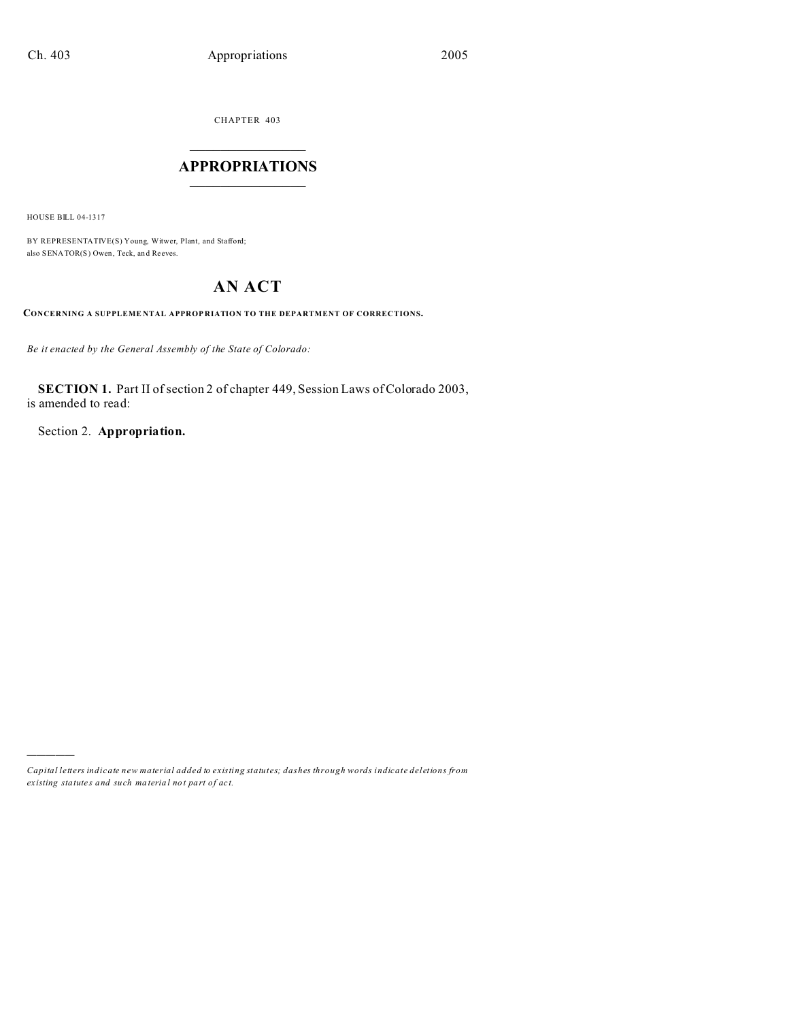CHAPTER 403  $\overline{\phantom{a}}$  , where  $\overline{\phantom{a}}$ 

# **APPROPRIATIONS**  $\_$   $\_$   $\_$   $\_$   $\_$   $\_$   $\_$   $\_$

HOUSE BILL 04-1317

)))))

BY REPRESENTATIVE(S) Young, Witwer, Plant, and Stafford; also SENATOR(S) Owen, Teck, an d Reeves.

# **AN ACT**

**CONCERNING A SUPPLEME NTAL APPROP RIATION TO THE DEPARTMENT OF CORRECTIONS.**

*Be it enacted by the General Assembly of the State of Colorado:*

**SECTION 1.** Part II of section 2 of chapter 449, Session Laws of Colorado 2003, is amended to read:

Section 2. **Appropriation.**

*Capital letters indicate new material added to existing statutes; dashes through words indicate deletions from ex isting statute s and such ma teria l no t pa rt of ac t.*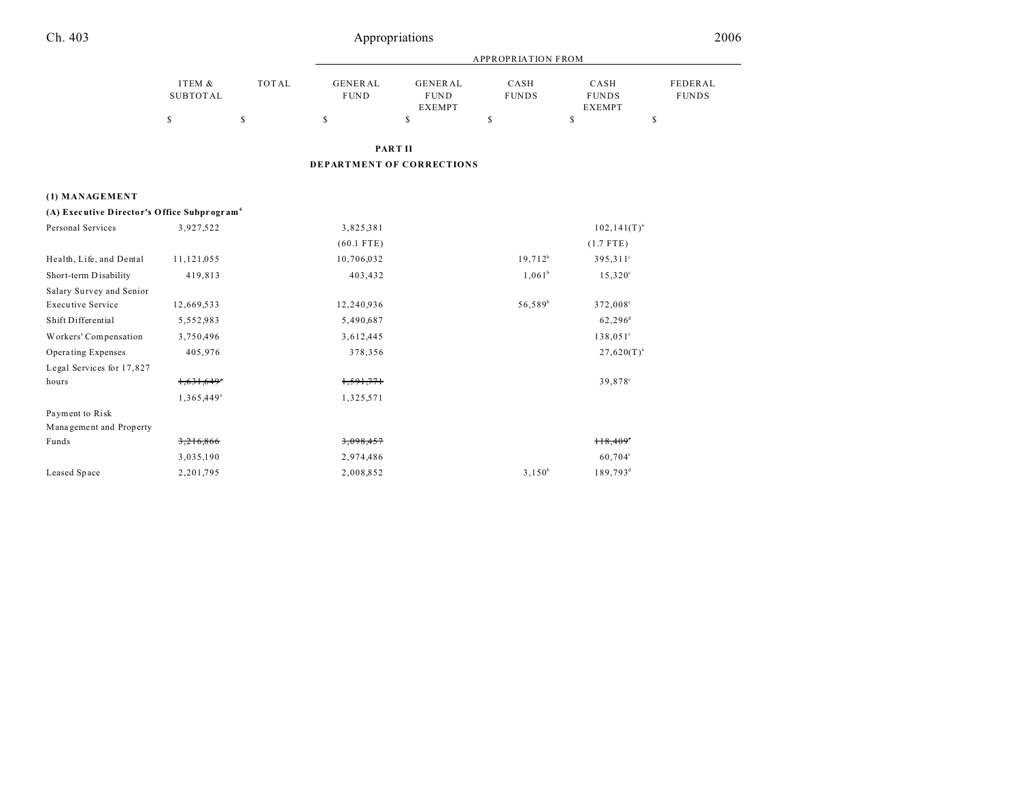|                                                         |                           |              |                                  | <b>APPROPRIATION FROM</b>                      |                      |                                       |                         |  |
|---------------------------------------------------------|---------------------------|--------------|----------------------------------|------------------------------------------------|----------------------|---------------------------------------|-------------------------|--|
|                                                         | ITEM &<br><b>SUBTOTAL</b> | <b>TOTAL</b> | <b>GENERAL</b><br><b>FUND</b>    | <b>GENERAL</b><br><b>FUND</b><br><b>EXEMPT</b> | CASH<br><b>FUNDS</b> | CASH<br><b>FUNDS</b><br><b>EXEMPT</b> | FEDERAL<br><b>FUNDS</b> |  |
|                                                         | \$                        | \$           | \$                               | \$                                             | S                    | \$                                    | \$                      |  |
|                                                         |                           |              |                                  | <b>PART II</b>                                 |                      |                                       |                         |  |
|                                                         |                           |              | <b>DEPARTMENT OF CORRECTIONS</b> |                                                |                      |                                       |                         |  |
| (1) MANAGEMENT                                          |                           |              |                                  |                                                |                      |                                       |                         |  |
| (A) Executive Director's Office Subprogram <sup>4</sup> |                           |              |                                  |                                                |                      |                                       |                         |  |
| Personal Services                                       | 3,927,522                 |              | 3,825,381                        |                                                |                      | $102, 141(T)^{a}$                     |                         |  |
|                                                         |                           |              | $(60.1$ FTE)                     |                                                |                      | $(1.7$ FTE)                           |                         |  |
| Health, Life, and Dental                                | 11,121,055                |              | 10,706,032                       |                                                | $19,712^b$           | 395,311 <sup>c</sup>                  |                         |  |
| Short-term Disability                                   | 419,813                   |              | 403,432                          |                                                | $1,061^b$            | $15,320^{\circ}$                      |                         |  |
| Salary Survey and Senior                                |                           |              |                                  |                                                |                      |                                       |                         |  |
| <b>Executive Service</b>                                | 12,669,533                |              | 12,240,936                       |                                                | 56,589 <sup>b</sup>  | 372,008°                              |                         |  |
| Shift Differential                                      | 5,552,983                 |              | 5,490,687                        |                                                |                      | $62,296^{\rm d}$                      |                         |  |
| Workers' Compensation                                   | 3,750,496                 |              | 3,612,445                        |                                                |                      | $138,051^{\circ}$                     |                         |  |
| Operating Expenses                                      | 405,976                   |              | 378,356                          |                                                |                      | $27,620(T)^{a}$                       |                         |  |
| Legal Services for 17,827                               |                           |              |                                  |                                                |                      |                                       |                         |  |
| hours                                                   | 1,631,649                 |              | 1,591,771                        |                                                |                      | 39,878°                               |                         |  |
|                                                         | 1,365,449°                |              | 1,325,571                        |                                                |                      |                                       |                         |  |
| Payment to Risk                                         |                           |              |                                  |                                                |                      |                                       |                         |  |
| Management and Property                                 |                           |              |                                  |                                                |                      |                                       |                         |  |
| Funds                                                   | 3,216,866                 |              | 3,098,457                        |                                                |                      | $H8,409^\circ$                        |                         |  |
|                                                         | 3,035,190                 |              | 2,974,486                        |                                                |                      | 60,704°                               |                         |  |
| Leased Space                                            | 2,201,795                 |              | 2,008,852                        |                                                | $3,150^b$            | 189,793 <sup>d</sup>                  |                         |  |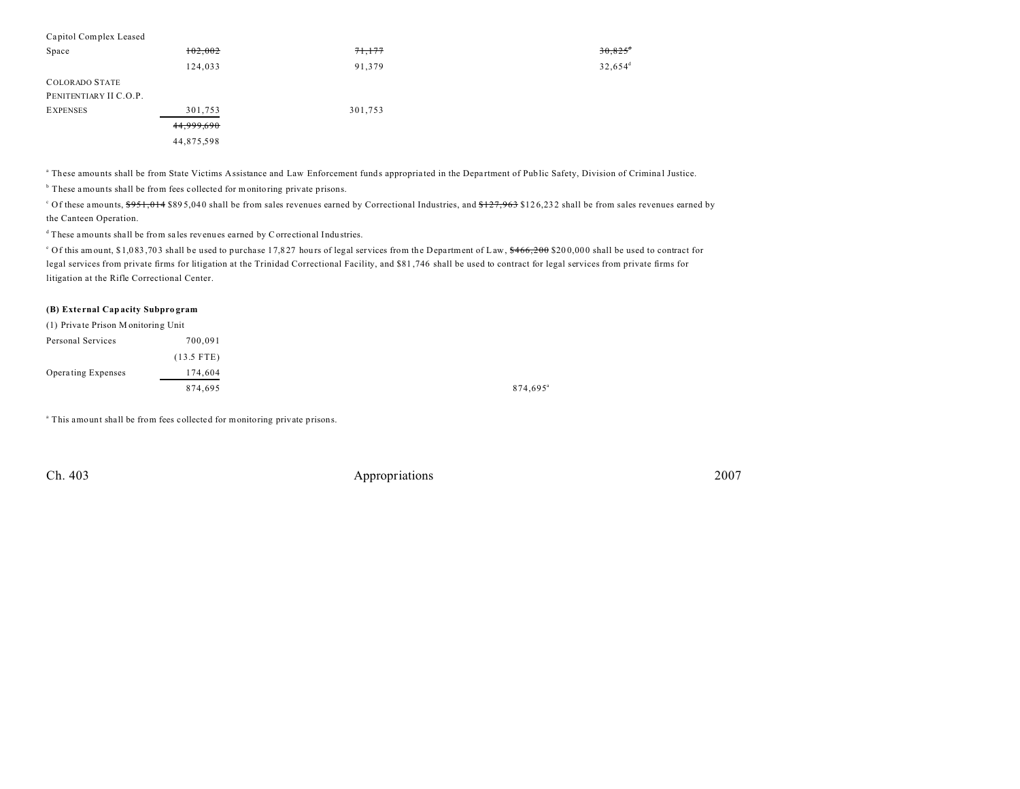| Capitol Complex Leased |            |         |                       |
|------------------------|------------|---------|-----------------------|
| Space                  | 102,002    | 71,177  | $30,825$ <sup>4</sup> |
|                        | 124,033    | 91,379  | $32,654^d$            |
| <b>COLORADO STATE</b>  |            |         |                       |
| PENITENTIARY II C.O.P. |            |         |                       |
| <b>EXPENSES</b>        | 301,753    | 301,753 |                       |
|                        | 44,999,690 |         |                       |
|                        | 44,875,598 |         |                       |

<sup>a</sup> These amounts shall be from State Victims Assistance and Law Enforcement funds appropriated in the Department of Public Safety, Division of Criminal Justice.

<sup>b</sup> These amounts shall be from fees collected for monitoring private prisons.

<sup>c</sup> Of these amounts, <del>\$951,014</del> \$895,040 shall be from sales revenues earned by Correctional Industries, and <del>\$127,963</del> \$126,232 shall be from sales revenues earned by the Canteen Operation.

<sup>d</sup> These amounts shall be from sales revenues earned by Correctional Industries.

<sup>o</sup> Of this amount, \$1,083,703 shall be used to purchase 17,827 hours of legal services from the Department of Law, <del>\$466,200</del> \$200,000 shall be used to contract for legal services from private firms for litigation at the Trinidad Correctional Facility, and \$81 ,746 shall be used to contract for legal services from private firms for litigation at the Rifle Correctional Center.

#### **(B) Exte rnal Capacity Subpro gram**

| (1) Private Prison Monitoring Unit |              |
|------------------------------------|--------------|
| Personal Services                  | 700.091      |
|                                    | $(13.5$ FTE) |
| <b>Operating Expenses</b>          | 174,604      |
|                                    | 874,695      |

<sup>a</sup> This amount shall be from fees collected for monitoring private prisons.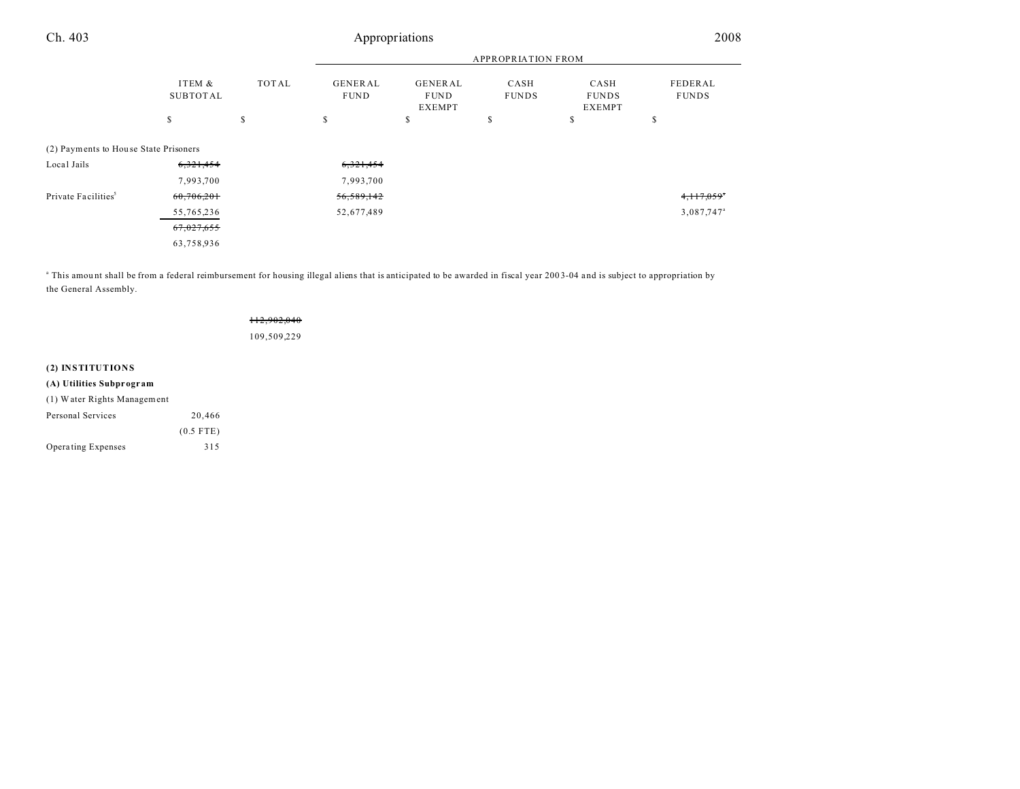| Ch.403                                | Appropriations     |                           |                               |                                                |                      |                                       | 2008                     |
|---------------------------------------|--------------------|---------------------------|-------------------------------|------------------------------------------------|----------------------|---------------------------------------|--------------------------|
|                                       |                    | <b>APPROPRIATION FROM</b> |                               |                                                |                      |                                       |                          |
|                                       | ITEM &<br>SUBTOTAL | <b>TOTAL</b>              | <b>GENERAL</b><br><b>FUND</b> | <b>GENERAL</b><br><b>FUND</b><br><b>EXEMPT</b> | CASH<br><b>FUNDS</b> | CASH<br><b>FUNDS</b><br><b>EXEMPT</b> | FEDERAL<br><b>FUNDS</b>  |
|                                       | \$                 | \$                        | \$                            | \$                                             | \$                   | \$                                    | \$                       |
| (2) Payments to House State Prisoners |                    |                           |                               |                                                |                      |                                       |                          |
| Local Jails                           | 6,321,454          |                           | 6,321,454                     |                                                |                      |                                       |                          |
|                                       | 7,993,700          |                           | 7,993,700                     |                                                |                      |                                       |                          |
| Private Facilities <sup>5</sup>       | 60,706,201         |                           | 56,589,142                    |                                                |                      |                                       | $4,117,059$ <sup>*</sup> |
|                                       | 55,765,236         |                           | 52,677,489                    |                                                |                      |                                       | 3,087,747 <sup>a</sup>   |
|                                       | 67,027,655         |                           |                               |                                                |                      |                                       |                          |
|                                       | 63,758,936         |                           |                               |                                                |                      |                                       |                          |

<sup>a</sup> This amount shall be from a federal reimbursement for housing illegal aliens that is anticipated to be awarded in fiscal year 2003-04 and is subject to appropriation by the General Assembly.

|                             |             | 112,902,040<br>109,509,229 |
|-----------------------------|-------------|----------------------------|
| (2) INSTITUTIONS            |             |                            |
| (A) Utilities Subprogram    |             |                            |
| (1) Water Rights Management |             |                            |
| Personal Services           | 20,466      |                            |
|                             | $(0.5$ FTE) |                            |
| <b>Operating Expenses</b>   | 315         |                            |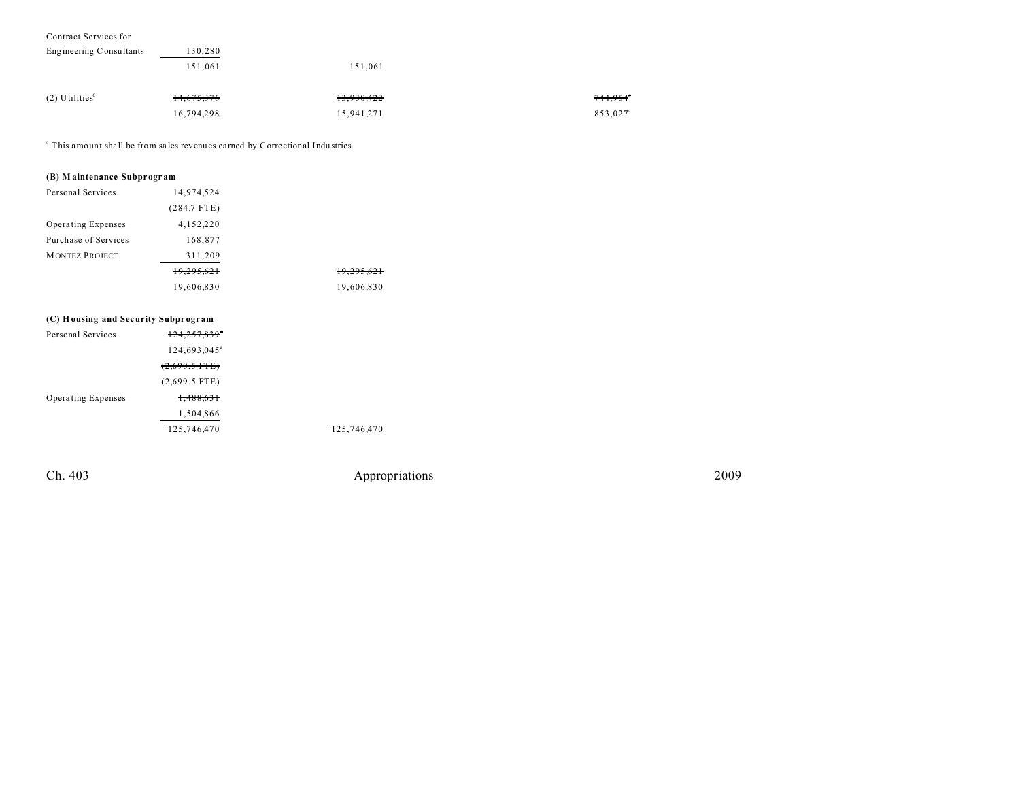| Contract Services for        |            |            |                      |
|------------------------------|------------|------------|----------------------|
| Engineering Consultants      | 130,280    |            |                      |
|                              | 151.061    | 151.061    |                      |
| $(2)$ Utilities <sup>6</sup> | 14,675,376 | 13,930,422 | 744,954°             |
|                              | 16,794,298 | 15,941,271 | 853,027 <sup>a</sup> |

<sup>a</sup> This amount shall be from sales revenues earned by Correctional Industries.

### **(B) M aintenance Subprogr am**

| Personal Services                   | 14.974.524    |            |
|-------------------------------------|---------------|------------|
|                                     | $(284.7$ FTE) |            |
| Operating Expenses                  | 4,152,220     |            |
| Purchase of Services                | 168,877       |            |
| <b>MONTEZ PROJECT</b>               | 311,209       |            |
|                                     | 19,295,621    | 19,295,621 |
|                                     | 19,606,830    | 19,606,830 |
|                                     |               |            |
| (C) Housing and Security Subprogram |               |            |
| Dorsonal Corrigge                   | 124.257.0205  |            |

| Personal Services  | $124, 257, 839$ <sup>*</sup> |
|--------------------|------------------------------|
|                    | 124.693.045 <sup>a</sup>     |
|                    | $(2,690.5$ FTE)              |
|                    | $(2,699.5$ FTE)              |
| Operating Expenses | <del>1.488.631</del>         |
|                    | 1,504,866                    |
|                    | 125.746.470                  |

125,746,470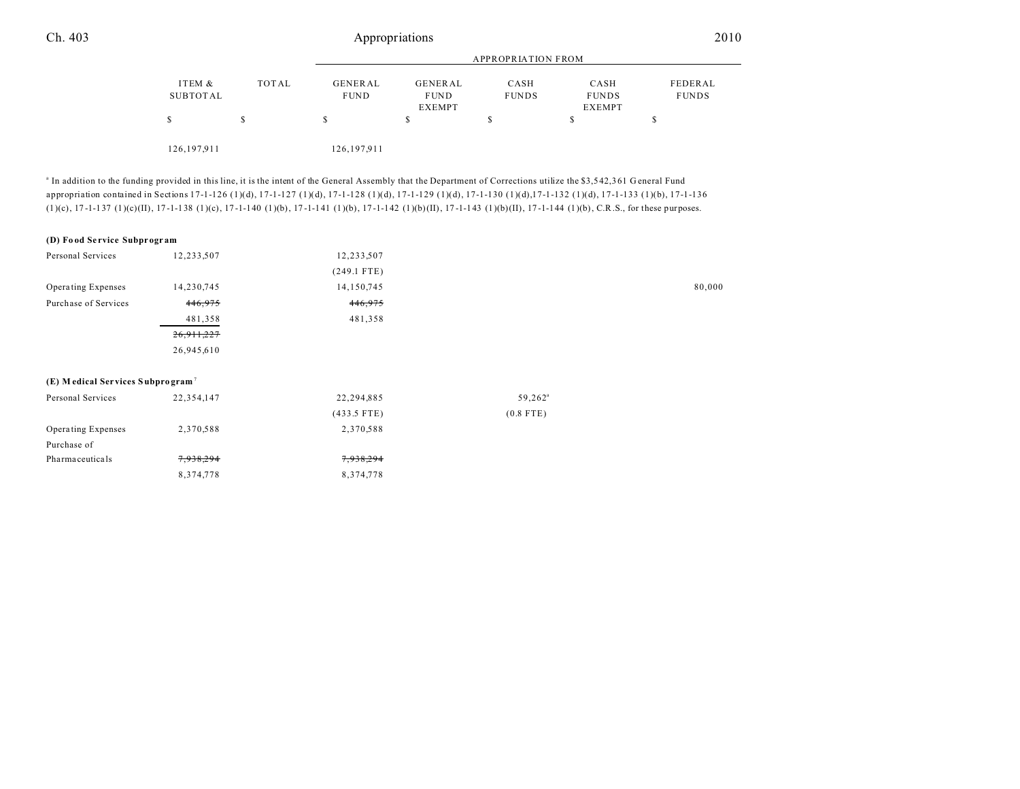|               |       |             | APPROPRIATION FROM |              |               |              |  |
|---------------|-------|-------------|--------------------|--------------|---------------|--------------|--|
| ITEM &        | TOTAL | GENERAL     | GENERAL            | CASH         | CASH          | FEDERAL      |  |
| SUBTOTAL      |       | <b>FUND</b> | <b>FUND</b>        | <b>FUNDS</b> | <b>FUNDS</b>  | <b>FUNDS</b> |  |
|               |       |             | <b>EXEMPT</b>      |              | <b>EXEMPT</b> |              |  |
|               |       | S           |                    |              |               |              |  |
|               |       |             |                    |              |               |              |  |
| 126, 197, 911 |       | 126,197,911 |                    |              |               |              |  |

<sup>a</sup> In addition to the funding provided in this line, it is the intent of the General Assembly that the Department of Corrections utilize the \$3,542,361 General Fund appropriation contained in Sections 17-1-126 (1)(d), 17-1-127 (1)(d), 17-1-128 (1)(d), 17-1-129 (1)(d), 17-1-130 (1)(d),17-1-132 (1)(d), 17-1-133 (1)(b), 17-1-136 (1)(c), 17 -1-137 (1)(c)(II), 17 -1-138 (1)(c), 17 -1-140 (1)(b), 17 -1-141 (1)(b), 17 -1-142 (1)(b)(II), 17 -1-143 (1)(b)(II), 17 -1-144 (1)(b), C.R.S., for these purposes.

### **(D) Fo od Se rvice Subpr ogr am**

| Personal Services                               | 12,233,507   | 12,233,507    |                     |        |
|-------------------------------------------------|--------------|---------------|---------------------|--------|
|                                                 |              | $(249.1$ FTE) |                     |        |
| Operating Expenses                              | 14,230,745   | 14,150,745    |                     | 80,000 |
| Purchase of Services                            | 446,975      | 446,975       |                     |        |
|                                                 | 481,358      | 481,358       |                     |        |
|                                                 | 26, 911, 227 |               |                     |        |
|                                                 | 26,945,610   |               |                     |        |
|                                                 |              |               |                     |        |
| $(E)$ M edical Services Subprogram <sup>7</sup> |              |               |                     |        |
| Personal Services                               | 22,354,147   | 22,294,885    | 59,262 <sup>a</sup> |        |
|                                                 |              | $(433.5$ FTE) | $(0.8$ FTE)         |        |
| <b>Operating Expenses</b>                       | 2,370,588    | 2,370,588     |                     |        |
| Purchase of                                     |              |               |                     |        |
| Pharmaceuticals                                 | 7,938,294    | 7,938,294     |                     |        |
|                                                 | 8,374,778    | 8,374,778     |                     |        |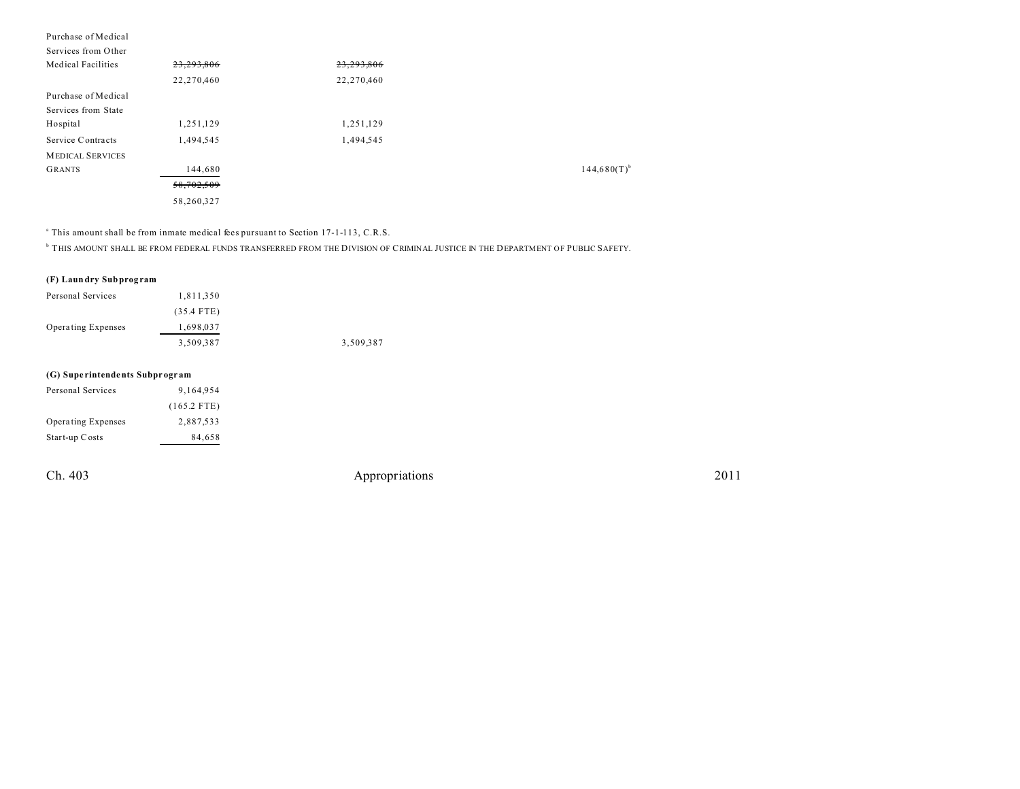| Purchase of Medical     |            |            |                  |
|-------------------------|------------|------------|------------------|
| Services from Other     |            |            |                  |
| Medical Facilities      | 23,293,806 | 23,293,806 |                  |
|                         | 22,270,460 | 22,270,460 |                  |
| Purchase of Medical     |            |            |                  |
| Services from State     |            |            |                  |
| Hospital                | 1,251,129  | 1,251,129  |                  |
| Service Contracts       | 1,494,545  | 1,494,545  |                  |
| <b>MEDICAL SERVICES</b> |            |            |                  |
| <b>GRANTS</b>           | 144,680    |            | $144,680(T)^{t}$ |
|                         | 58,702,509 |            |                  |
|                         | 58,260,327 |            |                  |

<sup>a</sup> This amount shall be from inmate medical fees pursuant to Section 17-1-113, C.R.S.

b THIS AMOUNT SHALL BE FROM FEDERAL FUNDS TRANSFERRED FROM THE DIVISION OF CRIMINAL JUSTICE IN THE DEPARTMENT OF PUBLIC SAFETY.

#### **(F) Laundry Subprog ram**

| Personal Services         | 1,811,350    |           |
|---------------------------|--------------|-----------|
|                           | $(35.4$ FTE) |           |
| <b>Operating Expenses</b> | 1,698,037    |           |
|                           | 3.509.387    | 3,509,387 |

#### **(G) Supe rintendents Subpr ogr am**

| Personal Services  | 9.164.954     |
|--------------------|---------------|
|                    | $(165.2$ FTE) |
| Operating Expenses | 2.887.533     |
| Start-up Costs     | 84,658        |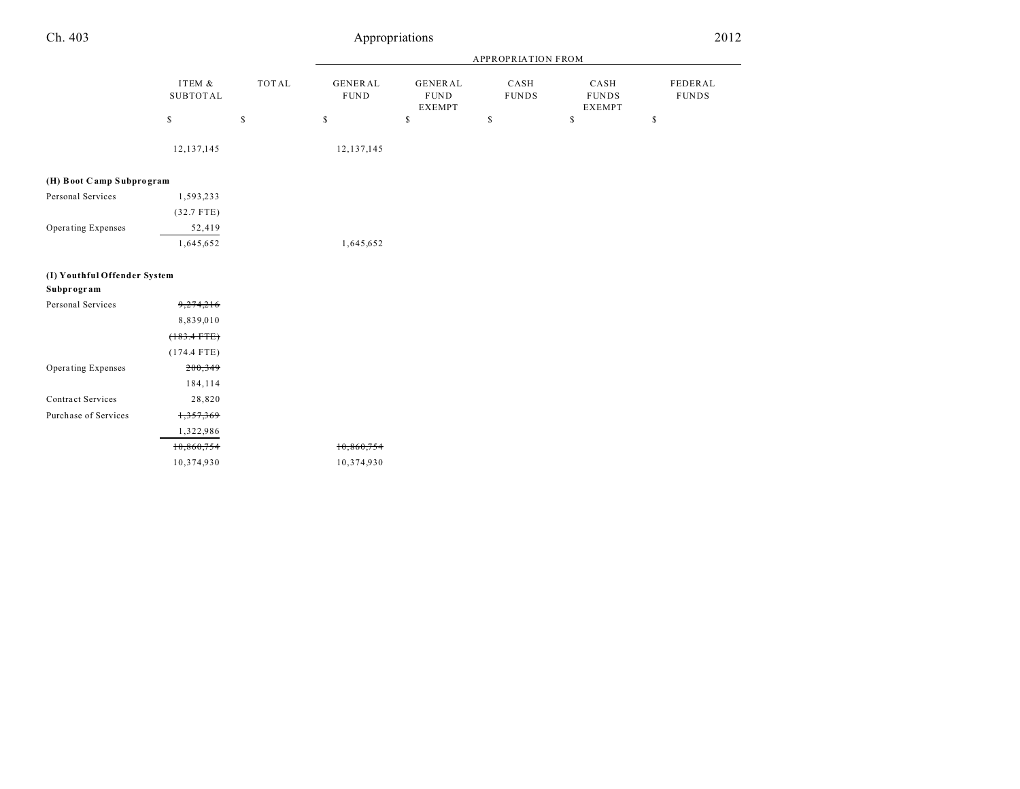|                              |                           |              |                               |                                          | APPROPRIATION FROM   |                                       |                         |
|------------------------------|---------------------------|--------------|-------------------------------|------------------------------------------|----------------------|---------------------------------------|-------------------------|
|                              | ITEM &<br><b>SUBTOTAL</b> | <b>TOTAL</b> | <b>GENERAL</b><br><b>FUND</b> | GENERAL<br>${\tt FUND}$<br><b>EXEMPT</b> | CASH<br><b>FUNDS</b> | CASH<br><b>FUNDS</b><br><b>EXEMPT</b> | FEDERAL<br><b>FUNDS</b> |
|                              | \$                        | \$           | $\mathbb{S}$                  | $\mathbb{S}$                             | \$                   | $\mathsf{\$}$                         | $\mathbb{S}$            |
|                              | 12, 137, 145              |              | 12, 137, 145                  |                                          |                      |                                       |                         |
| (H) Boot Camp Subprogram     |                           |              |                               |                                          |                      |                                       |                         |
| Personal Services            | 1,593,233                 |              |                               |                                          |                      |                                       |                         |
|                              | $(32.7$ FTE)              |              |                               |                                          |                      |                                       |                         |
| Operating Expenses           | 52,419                    |              |                               |                                          |                      |                                       |                         |
|                              | 1,645,652                 |              | 1,645,652                     |                                          |                      |                                       |                         |
| (I) Youthful Offender System |                           |              |                               |                                          |                      |                                       |                         |
| Subprogram                   |                           |              |                               |                                          |                      |                                       |                         |
| Personal Services            | 9,274,216                 |              |                               |                                          |                      |                                       |                         |
|                              | 8,839,010                 |              |                               |                                          |                      |                                       |                         |
|                              | $(183.4$ FTE)             |              |                               |                                          |                      |                                       |                         |
|                              | $(174.4$ FTE)             |              |                               |                                          |                      |                                       |                         |
| Operating Expenses           | 200,349                   |              |                               |                                          |                      |                                       |                         |
|                              | 184,114                   |              |                               |                                          |                      |                                       |                         |
| Contract Services            | 28,820                    |              |                               |                                          |                      |                                       |                         |
| Purchase of Services         | 1,357,369                 |              |                               |                                          |                      |                                       |                         |
|                              | 1,322,986                 |              |                               |                                          |                      |                                       |                         |
|                              | 10,860,754                |              | 10,860,754                    |                                          |                      |                                       |                         |
|                              | 10,374,930                |              | 10,374,930                    |                                          |                      |                                       |                         |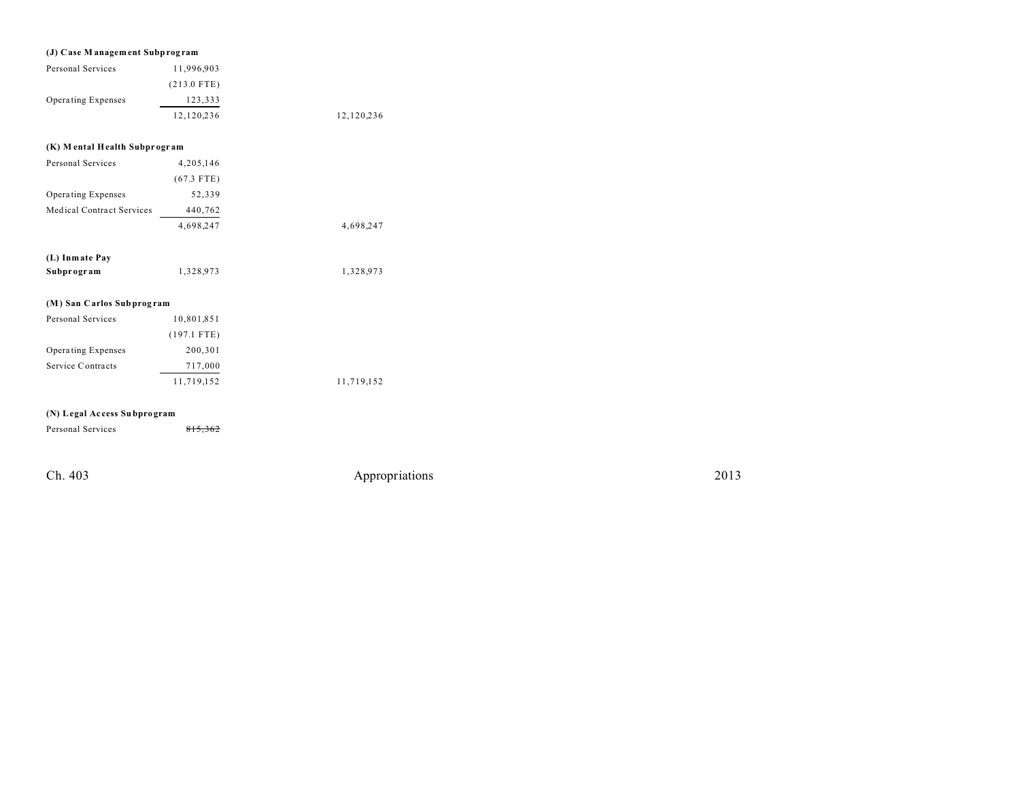### **(J) Case M anagem ent Subprog ram**

| Personal Services  | 11.996.903    |            |
|--------------------|---------------|------------|
|                    | $(213.0$ FTE) |            |
| Operating Expenses | 123.333       |            |
|                    | 12.120.236    | 12,120,236 |

# **(K) M ental Health Subpr ogr am**

| Personal Services                | 4,205,146    |           |
|----------------------------------|--------------|-----------|
|                                  | $(67.3$ FTE) |           |
| Operating Expenses               | 52,339       |           |
| <b>Medical Contract Services</b> | 440,762      |           |
|                                  | 4,698,247    | 4,698,247 |
| (L) Inmate Pay                   |              |           |
| Subprogram                       | 1,328,973    | 1,328,973 |

# **(M) San Carlos Subprog ram**

| Personal Services         | 10,801,851    |            |
|---------------------------|---------------|------------|
|                           | $(197.1$ FTE) |            |
| <b>Operating Expenses</b> | 200,301       |            |
| Service Contracts         | 717,000       |            |
|                           | 11,719,152    | 11,719,152 |

# **(N) Legal Ac cess Subpro gram**

| Personal Services | 815,362 |  |
|-------------------|---------|--|
|                   |         |  |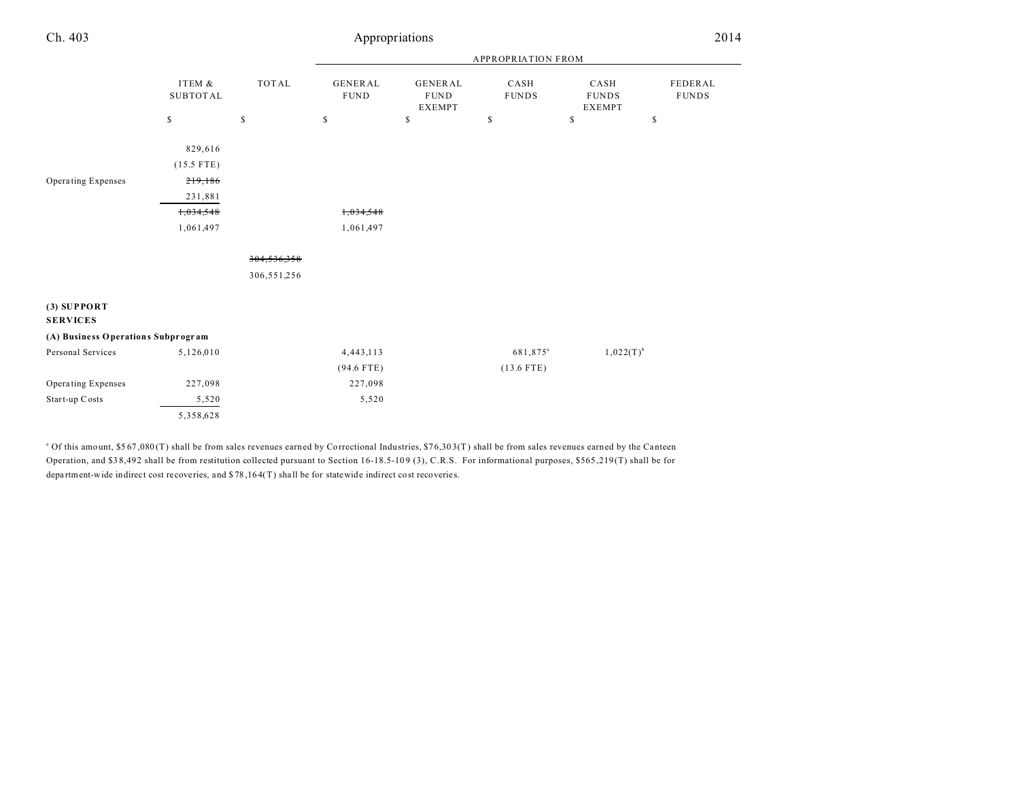| Ch. 403 | Appropriations            | 2014 |
|---------|---------------------------|------|
|         | <b>APPROPRIATION FROM</b> |      |

|                                    |                           |              | <b>APPROPRIATION FROM</b>     |                                                |                      |                                       |                         |  |
|------------------------------------|---------------------------|--------------|-------------------------------|------------------------------------------------|----------------------|---------------------------------------|-------------------------|--|
|                                    | ITEM &<br><b>SUBTOTAL</b> | <b>TOTAL</b> | <b>GENERAL</b><br><b>FUND</b> | <b>GENERAL</b><br><b>FUND</b><br><b>EXEMPT</b> | CASH<br><b>FUNDS</b> | CASH<br><b>FUNDS</b><br><b>EXEMPT</b> | FEDERAL<br><b>FUNDS</b> |  |
|                                    | \$                        | \$           | $\mathbb{S}$                  | \$                                             | \$                   | \$                                    | \$                      |  |
|                                    | 829,616                   |              |                               |                                                |                      |                                       |                         |  |
|                                    | $(15.5$ FTE)              |              |                               |                                                |                      |                                       |                         |  |
| Operating Expenses                 | 219,186                   |              |                               |                                                |                      |                                       |                         |  |
|                                    | 231,881                   |              |                               |                                                |                      |                                       |                         |  |
|                                    | 1,034,548                 |              | 1,034,548                     |                                                |                      |                                       |                         |  |
|                                    | 1,061,497                 |              | 1,061,497                     |                                                |                      |                                       |                         |  |
|                                    |                           | 304,536,358  |                               |                                                |                      |                                       |                         |  |
|                                    |                           | 306,551,256  |                               |                                                |                      |                                       |                         |  |
| $(3)$ SUPPORT<br><b>SERVICES</b>   |                           |              |                               |                                                |                      |                                       |                         |  |
| (A) Business Operations Subprogram |                           |              |                               |                                                |                      |                                       |                         |  |
| Personal Services                  | 5,126,010                 |              | 4,443,113                     |                                                | 681,875 <sup>a</sup> | $1,022(T)^{b}$                        |                         |  |
|                                    |                           |              | $(94.6$ FTE)                  |                                                | $(13.6$ FTE)         |                                       |                         |  |
| Operating Expenses                 | 227,098                   |              | 227,098                       |                                                |                      |                                       |                         |  |
| Start-up Costs                     | 5,520                     |              | 5,520                         |                                                |                      |                                       |                         |  |
|                                    | 5,358,628                 |              |                               |                                                |                      |                                       |                         |  |

<sup>a</sup> Of this amount, \$567,080(T) shall be from sales revenues earned by Correctional Industries, \$76,303(T) shall be from sales revenues earned by the Canteen Operation, and \$38,492 shall be from restitution collected pursuant to Section 16-18.5-109 (3), C.R.S. For informational purposes, \$565,219(T) shall be for department-wide indirect cost recoveries, and  $$78,164(T)$  shall be for statewide indirect cost recoveries.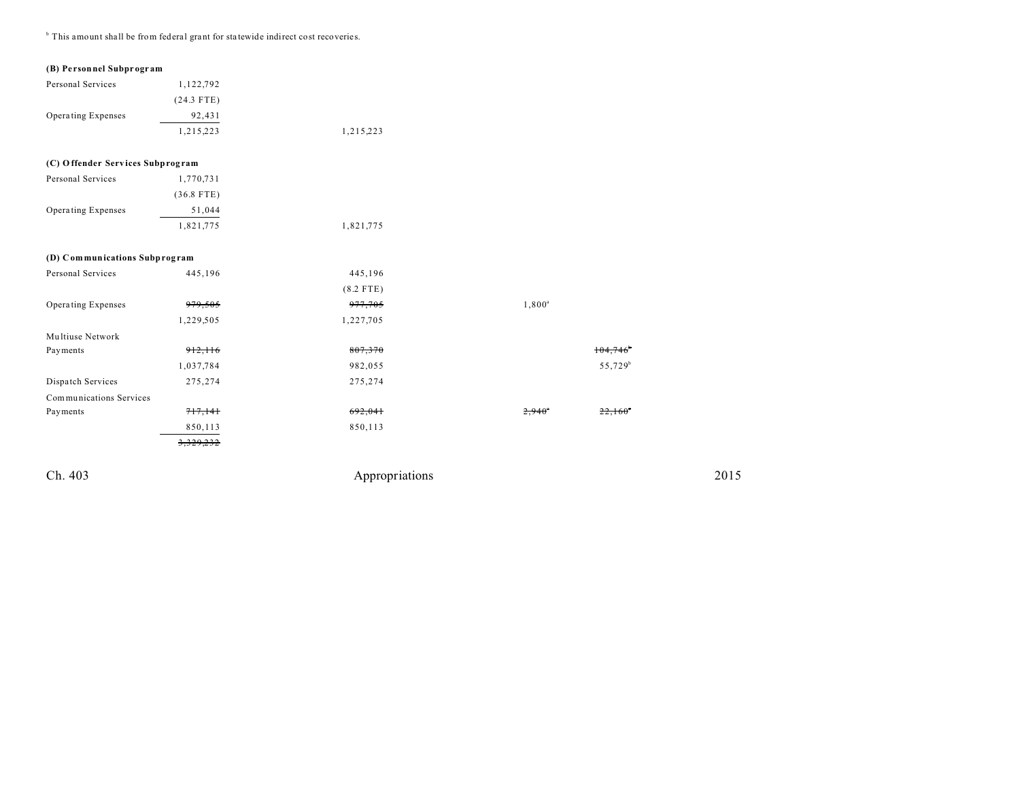<sup>b</sup> This amount shall be from federal grant for statewide indirect cost recoveries.

#### **(B) Pe rsonnel Subpr ogr am**

| Personal Services                | 1,122,792    |             |                 |                     |
|----------------------------------|--------------|-------------|-----------------|---------------------|
|                                  | $(24.3$ FTE) |             |                 |                     |
| Operating Expenses               | 92,431       |             |                 |                     |
|                                  | 1,215,223    | 1,215,223   |                 |                     |
| (C) Offender Services Subprogram |              |             |                 |                     |
| Personal Services                | 1,770,731    |             |                 |                     |
|                                  | $(36.8$ FTE) |             |                 |                     |
| Operating Expenses               | 51,044       |             |                 |                     |
|                                  | 1,821,775    | 1,821,775   |                 |                     |
| (D) Communications Subprogram    |              |             |                 |                     |
| Personal Services                | 445,196      | 445,196     |                 |                     |
|                                  |              | $(8.2$ FTE) |                 |                     |
| Operating Expenses               | 979,505      | 977,705     | $1,800^a$       |                     |
|                                  | 1,229,505    | 1,227,705   |                 |                     |
| Multiuse Network                 |              |             |                 |                     |
| Payments                         | 912,116      | 807,370     |                 | 104,746             |
|                                  | 1,037,784    | 982,055     |                 | 55,729 <sup>b</sup> |
| Dispatch Services                | 275,274      | 275,274     |                 |                     |
| Communications Services          |              |             |                 |                     |
| Payments                         | 717,141      | 692,041     | $2,940^{\circ}$ | 22,160              |
|                                  | 850,113      | 850,113     |                 |                     |
|                                  | 3,329,232    |             |                 |                     |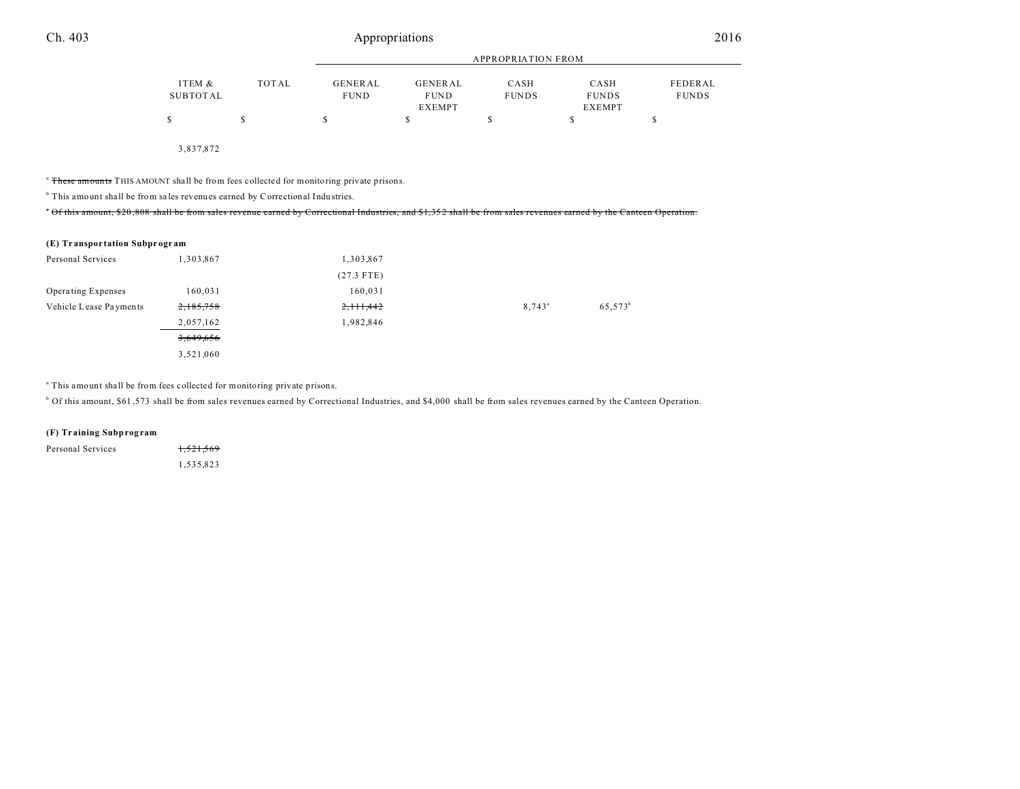|          |       | <b>APPROPRIATION FROM</b> |             |              |               |              |
|----------|-------|---------------------------|-------------|--------------|---------------|--------------|
| ITEM &   | TOTAL | GENERAL                   | GENERAL     | CASH         | CASH          | FEDERAL      |
| SUBTOTAL |       | <b>FUND</b>               | <b>FUND</b> | <b>FUNDS</b> | <b>FUNDS</b>  | <b>FUNDS</b> |
|          |       |                           | EXEMPT      |              | <b>EXEMPT</b> |              |
|          |       | S                         |             |              |               |              |
|          |       |                           |             |              |               |              |
|          |       |                           |             |              |               |              |

3,837,872

<sup>a</sup> These amounts THIS AMOUNT shall be from fees collected for monitoring private prisons.

<sup>b</sup> This amount shall be from sales revenues earned by Correctional Industries.

\* Of this amount, \$20,808 shall be from sales revenue earned by Correctional Industries, and \$1,352 shall be from sales revenues earned by the Canteen Operation.

#### **(E) Tr anspor tation Subpr ogr am**

| Personal Services         | 1,303,867 | 1,303,867    |                 |                     |
|---------------------------|-----------|--------------|-----------------|---------------------|
|                           |           | $(27.3$ FTE) |                 |                     |
| <b>Operating Expenses</b> | 160,031   | 160,031      |                 |                     |
| Vehicle Lease Payments    | 2,185,758 | 2, 11, 442   | $8,743^{\circ}$ | 65,573 <sup>b</sup> |
|                           | 2,057,162 | 1,982,846    |                 |                     |
|                           | 3,649,656 |              |                 |                     |
|                           | 3,521,060 |              |                 |                     |

<sup>a</sup> This amount shall be from fees collected for monitoring private prisons.

b Of this amount, \$61 ,573 shall be from sales revenues earned by Correctional Industries, and \$4,000 shall be from sales revenues earned by the Canteen Operation.

#### **(F) Tr aining Subprog ram**

| Personal Services | 1,521,569 |
|-------------------|-----------|
|                   | 1,535,823 |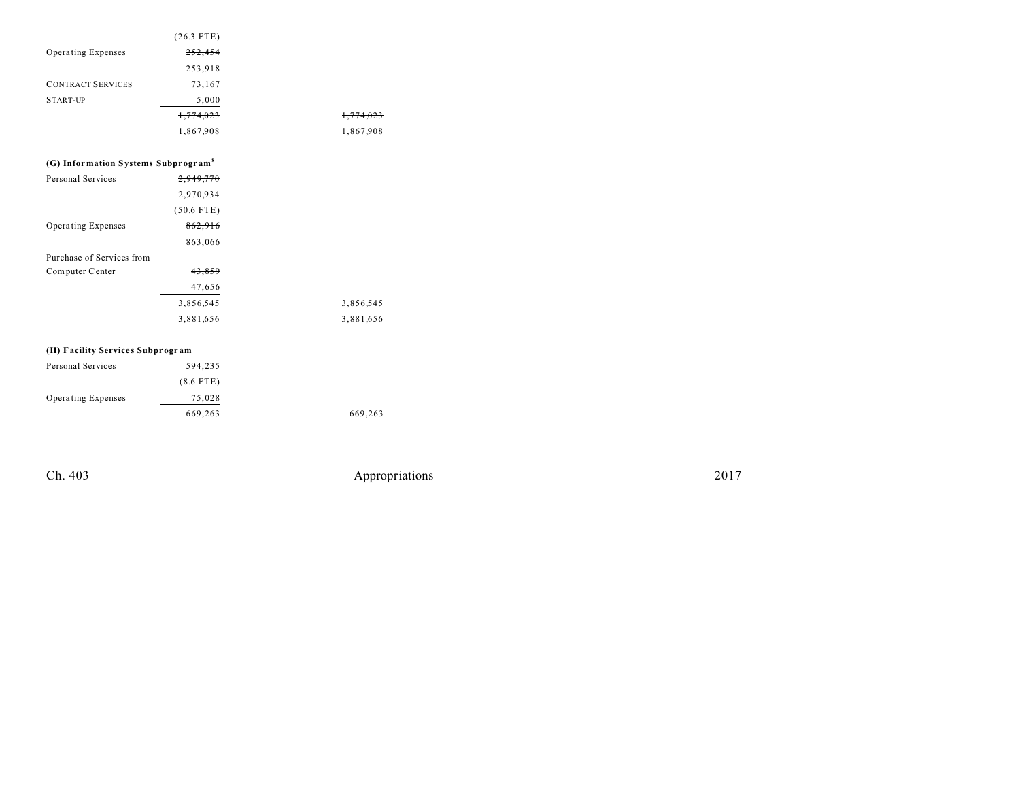|                                                 | $(26.3$ FTE) |
|-------------------------------------------------|--------------|
| Operating Expenses                              | 252,454      |
|                                                 | 253,918      |
| <b>CONTRACT SERVICES</b>                        | 73,167       |
| <b>START-UP</b>                                 | 5,000        |
|                                                 | 1,774,023    |
|                                                 | 1,867,908    |
|                                                 |              |
| (G) Information Systems Subprogram <sup>8</sup> |              |
| <b>Personal Services</b>                        | 2,949,770    |
|                                                 | 2,970,934    |
|                                                 | $(50.6$ FTE) |
| <b>Operating Expenses</b>                       | 862,916      |
|                                                 | 863,066      |
| Purchase of Services from                       |              |
| Computer Center                                 | 43,859       |
|                                                 | 47,656       |
|                                                 | 3,856,545    |
|                                                 | 3,881,656    |
|                                                 |              |
| (H) Facility Services Subprogram                |              |
| <b>Personal Services</b>                        | 594,235      |
|                                                 | $(8.6$ FTE)  |
| <b>Operating Expenses</b>                       | 75,028       |
|                                                 | 669,263      |

1,774,023 1,774,023 1,867,908 1,867,908

3,856,545 3,881,656 3,881,656

669,263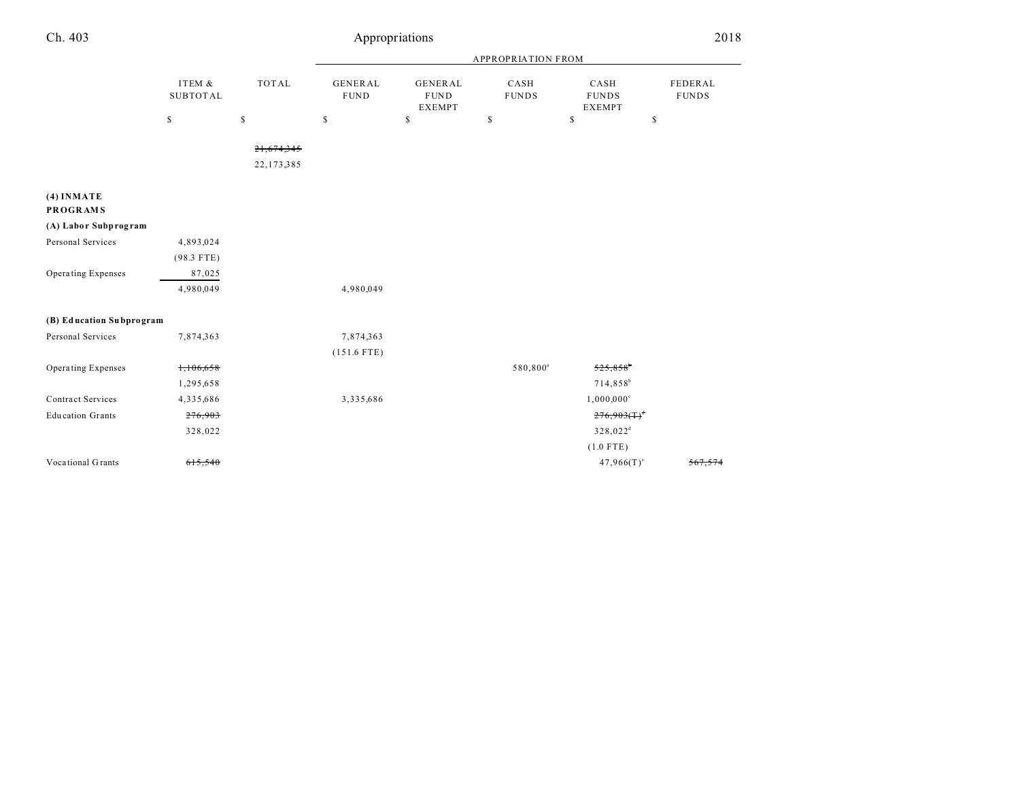| Ch. 403                         |                           |              |                                | Appropriations                                 |                      |                                       | 2018                    |
|---------------------------------|---------------------------|--------------|--------------------------------|------------------------------------------------|----------------------|---------------------------------------|-------------------------|
|                                 |                           |              | <b>APPROPRIATION FROM</b>      |                                                |                      |                                       |                         |
|                                 | ITEM &<br><b>SUBTOTAL</b> | <b>TOTAL</b> | <b>GENERAL</b><br>${\tt FUND}$ | <b>GENERAL</b><br><b>FUND</b><br><b>EXEMPT</b> | CASH<br><b>FUNDS</b> | CASH<br><b>FUNDS</b><br><b>EXEMPT</b> | FEDERAL<br><b>FUNDS</b> |
|                                 | $\mathbb{S}$              | \$           | $\mathbb{S}$                   | $\mathsf{\$}$                                  | $\mathbb S$          | $\mathbb{S}$                          | \$                      |
|                                 |                           | 21,674,345   |                                |                                                |                      |                                       |                         |
|                                 |                           | 22, 173, 385 |                                |                                                |                      |                                       |                         |
| $(4)$ INMATE<br><b>PROGRAMS</b> |                           |              |                                |                                                |                      |                                       |                         |
| (A) Labor Subprogram            |                           |              |                                |                                                |                      |                                       |                         |
| Personal Services               | 4,893,024                 |              |                                |                                                |                      |                                       |                         |
|                                 | $(98.3$ FTE)              |              |                                |                                                |                      |                                       |                         |
| Operating Expenses              | 87,025                    |              |                                |                                                |                      |                                       |                         |
|                                 | 4,980,049                 |              | 4,980,049                      |                                                |                      |                                       |                         |
| (B) Education Subprogram        |                           |              |                                |                                                |                      |                                       |                         |
| Personal Services               | 7,874,363                 |              | 7,874,363                      |                                                |                      |                                       |                         |
|                                 |                           |              | $(151.6$ FTE)                  |                                                |                      |                                       |                         |
| Operating Expenses              | 1,106,658                 |              |                                |                                                | 580,800 <sup>a</sup> | $525,858$ <sup>t</sup>                |                         |
|                                 | 1,295,658                 |              |                                |                                                |                      | $714,858^b$                           |                         |
| <b>Contract Services</b>        | 4,335,686                 |              | 3,335,686                      |                                                |                      | $1,000,000^{\circ}$                   |                         |
| <b>Education Grants</b>         | 276,903                   |              |                                |                                                |                      | $276,903(1)^{d}$                      |                         |
|                                 | 328,022                   |              |                                |                                                |                      | 328,022 <sup>d</sup>                  |                         |
|                                 |                           |              |                                |                                                |                      | $(1.0$ FTE)                           |                         |
| Vocational Grants               | 615,540                   |              |                                |                                                |                      | $47,966(T)$ <sup>c</sup>              | 567,574                 |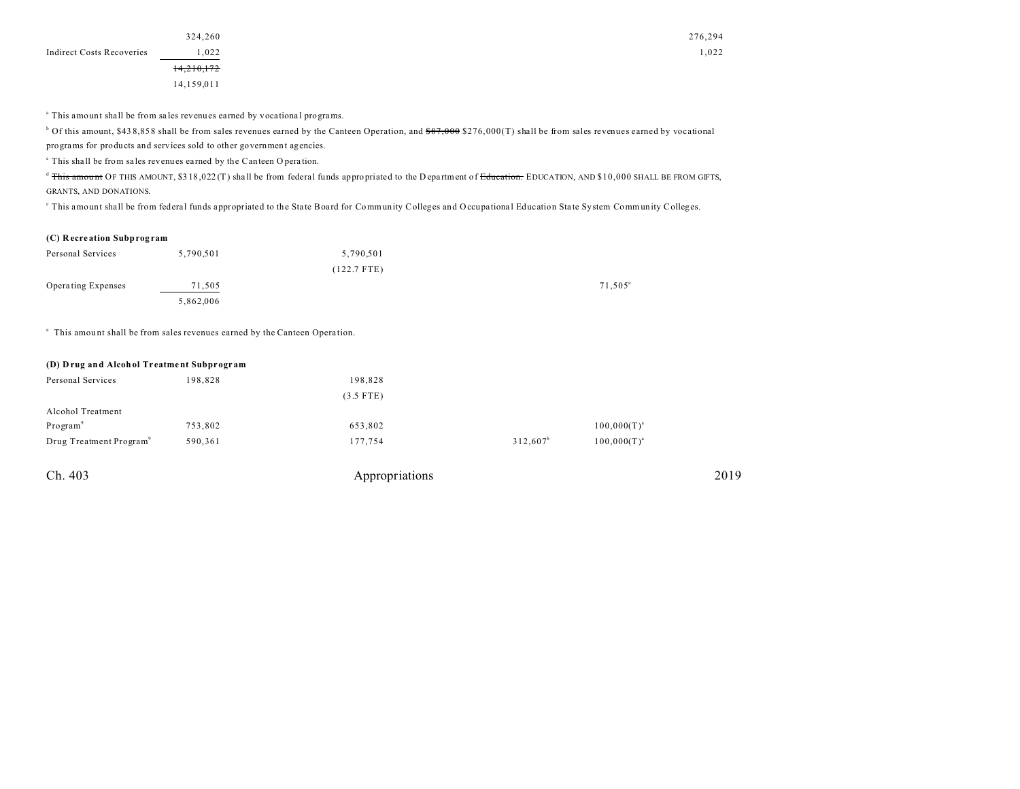|                           | 324,260    |
|---------------------------|------------|
| Indirect Costs Recoveries | 1,022      |
|                           | 14,210,172 |
|                           | 14,159,011 |

<sup>a</sup> This amount shall be from sales revenues earned by vocational programs.

 $^{\rm b}$  Of this amount, \$438,858 shall be from sales revenues earned by the Canteen Operation, and <del>\$87,000</del> \$276,000(T) shall be from sales revenues earned by vocational

programs for products and services sold to other government agencies.

<sup>c</sup> This shall be from sales revenues earned by the Canteen Operation.

<sup>d</sup> This amount OF THIS AMOUNT, \$3 18,022 (T) shall be from federal funds appropriated to the D epartment of Education. EDUCATION, AND \$10,000 SHALL BE FROM GIFTS, GRANTS, AND DONATIONS.

This amount shall be from federal funds appropriated to the State Board for Community Colleges and Occupational Education State System Community Colleges.

#### **(C) R ecre ation Subprog ram**

| Personal Services  | 5,790,501 | 5,790,501   |                     |
|--------------------|-----------|-------------|---------------------|
|                    |           | (122.7 FTE) |                     |
| Operating Expenses | 71,505    |             | 71,505 <sup>a</sup> |
|                    | 5,862,006 |             |                     |

<sup>a</sup> This amount shall be from sales revenues earned by the Canteen Operation.

| (D) Drug and Alcohol Treatment Subprogram |         |             |             |                  |  |  |
|-------------------------------------------|---------|-------------|-------------|------------------|--|--|
| Personal Services                         | 198,828 | 198,828     |             |                  |  |  |
|                                           |         | $(3.5$ FTE) |             |                  |  |  |
| Alcohol Treatment                         |         |             |             |                  |  |  |
| Program <sup>9</sup>                      | 753,802 | 653,802     |             | $100,000(T)^{a}$ |  |  |
| Drug Treatment Program <sup>9</sup>       | 590,361 | 177,754     | $312.607^b$ | $100,000(T)^{a}$ |  |  |
|                                           |         |             |             |                  |  |  |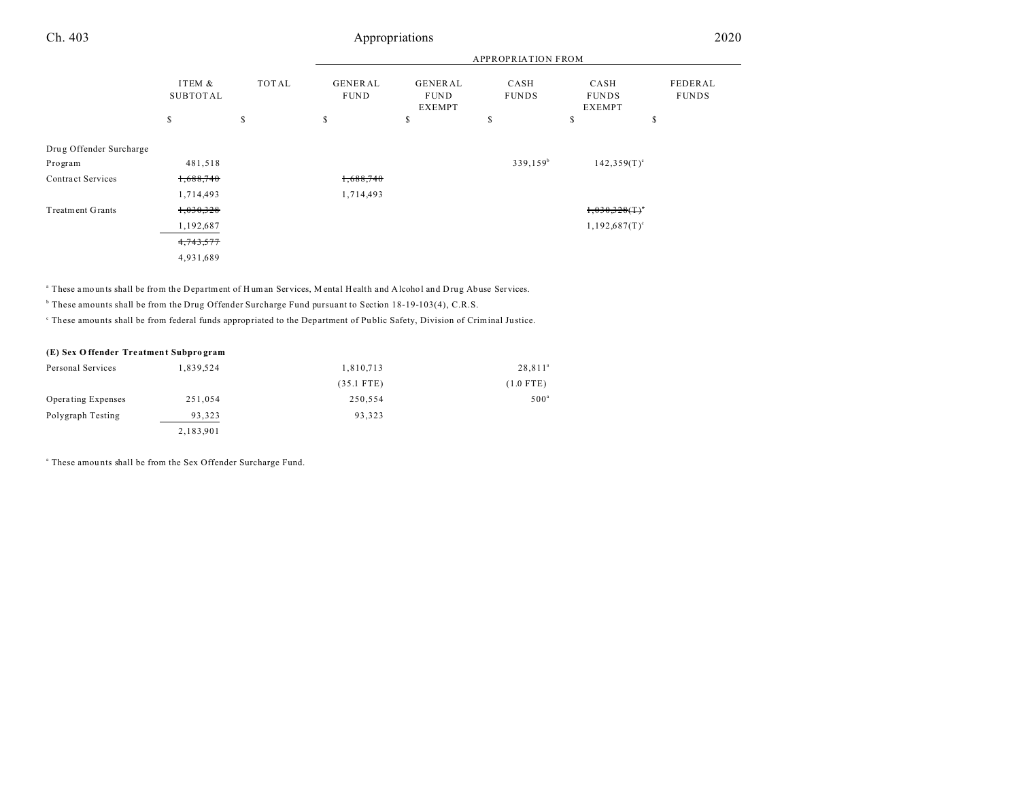| Ch. 403                 |                    |       |                               | Appropriations                          |                           |                                       | 2020                    |
|-------------------------|--------------------|-------|-------------------------------|-----------------------------------------|---------------------------|---------------------------------------|-------------------------|
|                         |                    |       |                               |                                         | <b>APPROPRIATION FROM</b> |                                       |                         |
|                         | ITEM &<br>SUBTOTAL | TOTAL | <b>GENERAL</b><br><b>FUND</b> | GENERAL<br><b>FUND</b><br><b>EXEMPT</b> | CASH<br><b>FUNDS</b>      | CASH<br><b>FUNDS</b><br><b>EXEMPT</b> | FEDERAL<br><b>FUNDS</b> |
|                         | <sup>\$</sup>      | \$    | \$                            | S                                       | s                         | \$                                    | \$                      |
| Drug Offender Surcharge |                    |       |                               |                                         |                           |                                       |                         |
| Program                 | 481,518            |       |                               |                                         | $339,159^b$               | $142,359(T)^c$                        |                         |
| Contract Services       | 1,688,740          |       | 1,688,740                     |                                         |                           |                                       |                         |
|                         | 1,714,493          |       | 1,714,493                     |                                         |                           |                                       |                         |
| <b>Treatment Grants</b> | 1,030,328          |       |                               |                                         |                           | $1,030,328($ T) <sup>*</sup>          |                         |

 $1,192,687$   $1,192,687$   $T$ <sup>c</sup>

<sup>a</sup> These amounts shall be from the Department of Human Services, Mental Health and Alcohol and Drug Abuse Services.

b These amounts shall be from the Drug Offender Surcharge Fund pursuant to Section 18-19-103(4), C.R.S.

These amounts shall be from federal funds appropriated to the Department of Public Safety, Division of Criminal Justice.

### **(E) Sex O ffender Tre atment Subpro gram**

| Personal Services         | 1,839,524 | 1,810,713    | $28,811^a$       |
|---------------------------|-----------|--------------|------------------|
|                           |           | $(35.1$ FTE) | $(1.0$ FTE)      |
| <b>Operating Expenses</b> | 251.054   | 250.554      | 500 <sup>a</sup> |
| Polygraph Testing         | 93,323    | 93.323       |                  |
|                           | 2,183,901 |              |                  |

a These amou nts shall be from the Sex Offender Surcharge Fund.

 $4,743,577$ 4,931,689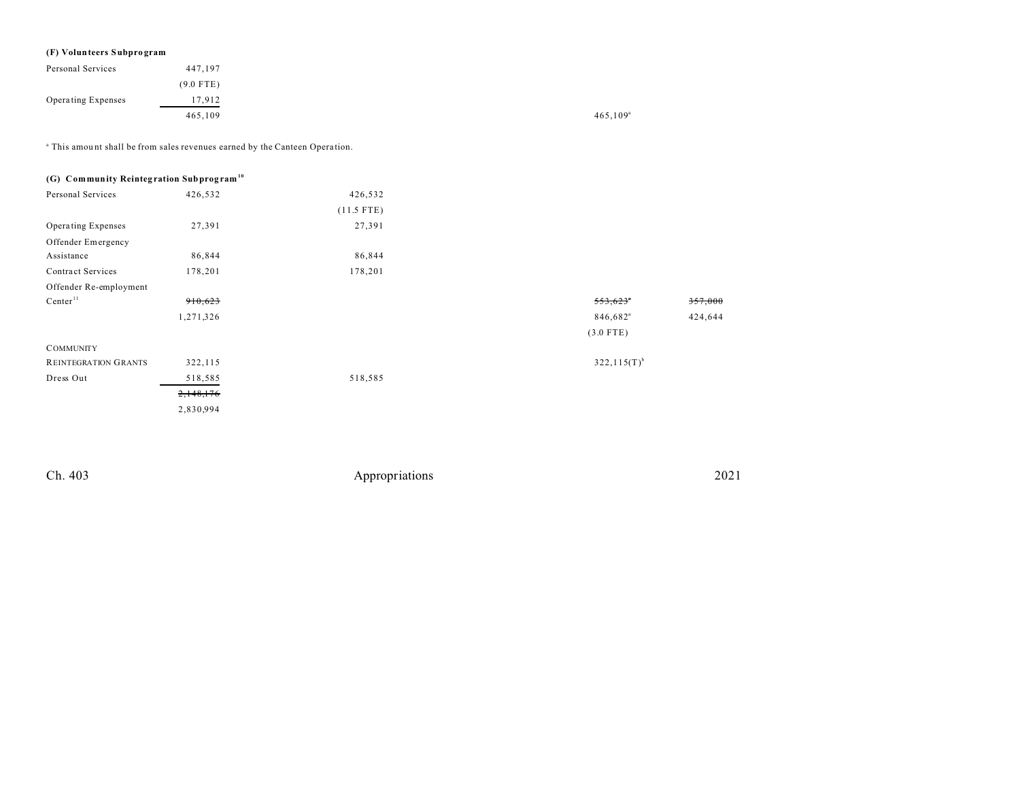# **(F) Volunteers Subpro gram**

| Personal Services  | 447,197     |                   |
|--------------------|-------------|-------------------|
|                    | $(9.0$ FTE) |                   |
| Operating Expenses | 17,912      |                   |
|                    | 465,109     | $465,109^{\circ}$ |

<sup>a</sup> This amount shall be from sales revenues earned by the Canteen Operation.

| (G) Community Reintegration Subprogram <sup>10</sup> |           |              |                      |         |
|------------------------------------------------------|-----------|--------------|----------------------|---------|
| Personal Services                                    | 426,532   | 426,532      |                      |         |
|                                                      |           | $(11.5$ FTE) |                      |         |
| Operating Expenses                                   | 27,391    | 27,391       |                      |         |
| Offender Emergency                                   |           |              |                      |         |
| Assistance                                           | 86,844    | 86,844       |                      |         |
| Contract Services                                    | 178,201   | 178,201      |                      |         |
| Offender Re-employment                               |           |              |                      |         |
| Center <sup>11</sup>                                 | 910,623   |              | 553,623              | 357,000 |
|                                                      | 1,271,326 |              | 846,682 <sup>a</sup> | 424,644 |
|                                                      |           |              | $(3.0$ FTE)          |         |
| <b>COMMUNITY</b>                                     |           |              |                      |         |
| REINTEGRATION GRANTS                                 | 322,115   |              | $322,115(T)^{b}$     |         |
| Dress Out                                            | 518,585   | 518,585      |                      |         |
|                                                      | 2,148,176 |              |                      |         |
|                                                      | 2,830,994 |              |                      |         |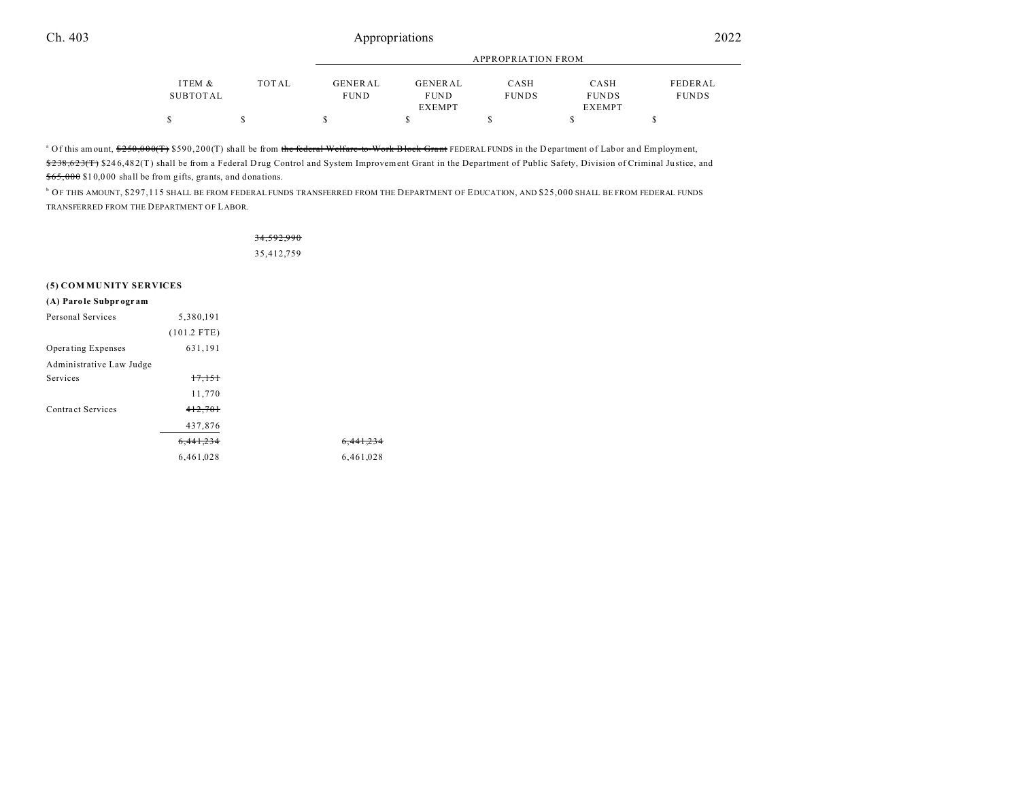|          |              | APPROPRIATION FROM |               |              |               |              |
|----------|--------------|--------------------|---------------|--------------|---------------|--------------|
| ITEM &   | <b>TOTAL</b> | GENERAL            | GENERAL       | CASH         | CASH          | FEDERAL      |
| SUBTOTAL |              | <b>FUND</b>        | <b>FUND</b>   | <b>FUNDS</b> | <b>FUNDS</b>  | <b>FUNDS</b> |
|          |              |                    | <b>EXEMPT</b> |              | <b>EXEMPT</b> |              |
| \$       |              |                    |               |              |               |              |

<sup>a</sup> Of this amount, <del>\$250,000(T)</del> \$590,200(T) shall be from <del>the federal Welfare-to-Work Block Grant</del> FEDERAL FUNDS in the Department of Labor and Employment, \$238,623(T) \$246,482(T) shall be from a Federal Drug Control and System Improvement Grant in the Department of Public Safety, Division of Criminal Justice, and \$65,000 \$1 0,0 00 shall be from gifts, grants, and dona tions.

b OF THIS AMOUNT, \$297,115 SHALL BE FROM FEDERAL FUNDS TRANSFERRED FROM THE DEPARTMENT OF EDUCATION, AND \$25,000 SHALL BE FROM FEDERAL FUNDS TRANSFERRED FROM THE DEPARTMENT OF LABOR.

# 34,592,990

35,412,759

#### **(5) COM MU NITY SERVICES**

| (A) Parole Subprogram    |               |                      |
|--------------------------|---------------|----------------------|
| Personal Services        | 5,380,191     |                      |
|                          | $(101.2$ FTE) |                      |
| Operating Expenses       | 631,191       |                      |
| Administrative Law Judge |               |                      |
| <b>Services</b>          | 17,151        |                      |
|                          | 11,770        |                      |
| Contract Services        | 412,701       |                      |
|                          | 437,876       |                      |
|                          | 6,441,234     | <del>6,441,234</del> |
|                          | 6,461,028     | 6,461,028            |
|                          |               |                      |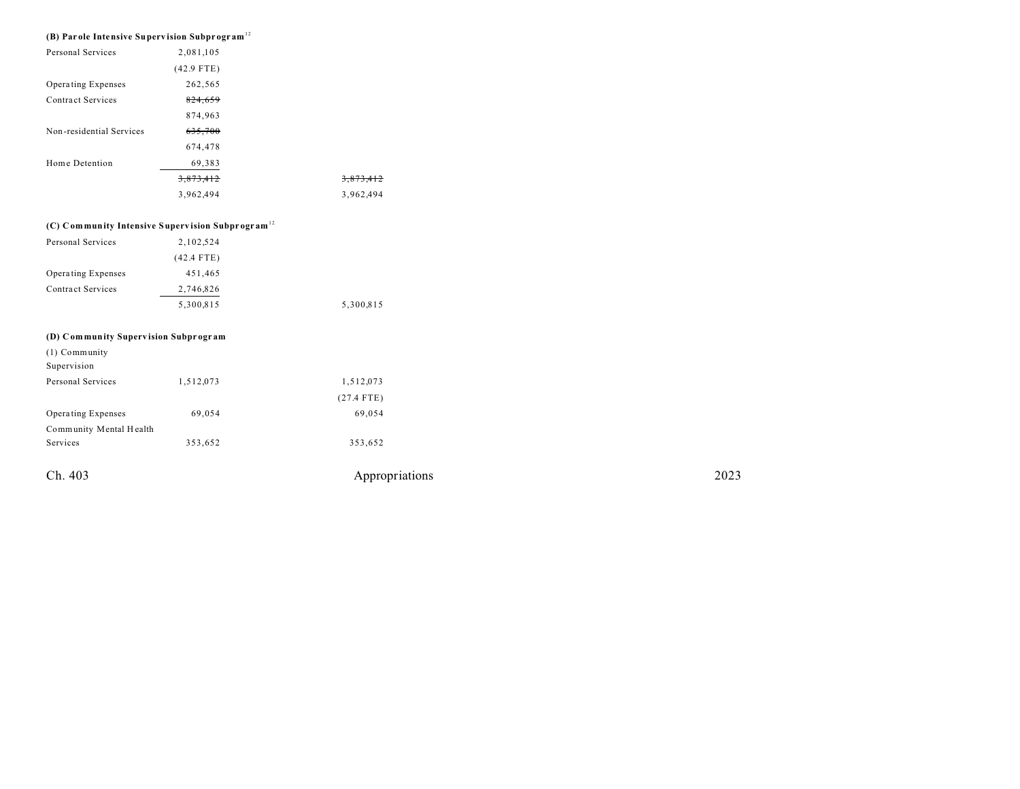| Ch. 403                                                   |                                                              | Appropriations | 2023 |
|-----------------------------------------------------------|--------------------------------------------------------------|----------------|------|
| Services                                                  | 353,652                                                      | 353,652        |      |
| Community Mental Health                                   |                                                              |                |      |
| Operating Expenses                                        | 69,054                                                       | 69,054         |      |
|                                                           |                                                              | $(27.4$ FTE)   |      |
| Personal Services                                         | 1,512,073                                                    | 1,512,073      |      |
| Supervision                                               |                                                              |                |      |
| (1) Community                                             |                                                              |                |      |
| (D) Community Supervision Subprogram                      |                                                              |                |      |
|                                                           |                                                              |                |      |
|                                                           | 5,300,815                                                    | 5,300,815      |      |
| <b>Contract Services</b>                                  | 2,746,826                                                    |                |      |
| Operating Expenses                                        | 451,465                                                      |                |      |
|                                                           | $(42.4$ FTE)                                                 |                |      |
| Personal Services                                         | 2,102,524                                                    |                |      |
|                                                           | (C) Community Intensive Supervision Subprogram <sup>12</sup> |                |      |
|                                                           |                                                              |                |      |
|                                                           | 3,962,494                                                    | 3,962,494      |      |
|                                                           | 3,873,412                                                    | 3,873,412      |      |
| Home Detention                                            | 69,383                                                       |                |      |
|                                                           | 674,478                                                      |                |      |
| Non-residential Services                                  | 635,700                                                      |                |      |
|                                                           | 874,963                                                      |                |      |
| <b>Contract Services</b>                                  | 824,659                                                      |                |      |
| Operating Expenses                                        | 262,565                                                      |                |      |
|                                                           | $(42.9$ FTE)                                                 |                |      |
| Personal Services                                         | 2,081,105                                                    |                |      |
| (B) Parole Intensive Supervision Subprogram <sup>12</sup> |                                                              |                |      |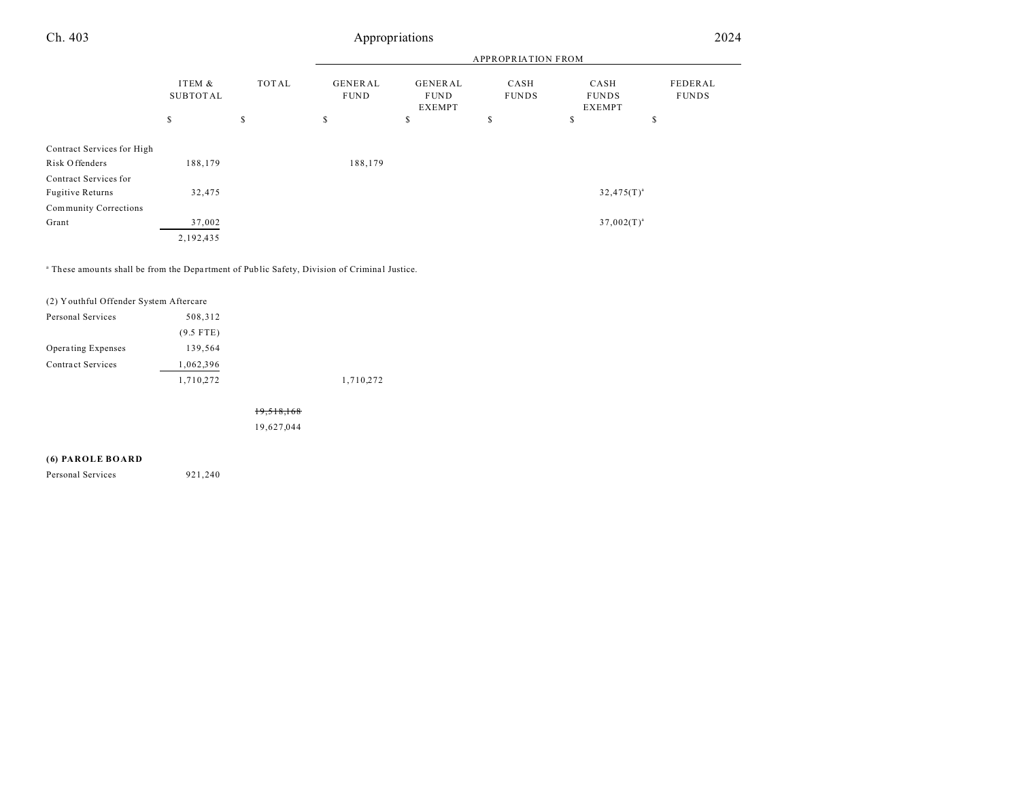|                            |                    |              | <b>APPROPRIATION FROM</b>     |                                                |                      |                                |                         |
|----------------------------|--------------------|--------------|-------------------------------|------------------------------------------------|----------------------|--------------------------------|-------------------------|
|                            | ITEM &<br>SUBTOTAL | <b>TOTAL</b> | <b>GENERAL</b><br><b>FUND</b> | <b>GENERAL</b><br><b>FUND</b><br><b>EXEMPT</b> | CASH<br><b>FUNDS</b> | CASH<br><b>FUNDS</b><br>EXEMPT | FEDERAL<br><b>FUNDS</b> |
|                            | \$                 | s            | s                             | \$                                             | \$                   | \$                             | s                       |
|                            |                    |              |                               |                                                |                      |                                |                         |
| Contract Services for High |                    |              |                               |                                                |                      |                                |                         |
| Risk Offenders             | 188,179            |              | 188,179                       |                                                |                      |                                |                         |
| Contract Services for      |                    |              |                               |                                                |                      |                                |                         |
| <b>Fugitive Returns</b>    | 32,475             |              |                               |                                                |                      | $32,475(T)^{a}$                |                         |
| Community Corrections      |                    |              |                               |                                                |                      |                                |                         |
| Grant                      | 37,002             |              |                               |                                                |                      | $37,002(T)^{a}$                |                         |
|                            | 2,192,435          |              |                               |                                                |                      |                                |                         |

<sup>a</sup> These amounts shall be from the Department of Public Safety, Division of Criminal Justice.

| (2) Youthful Offender System Aftercare |             |           |
|----------------------------------------|-------------|-----------|
| Personal Services                      | 508,312     |           |
|                                        | $(9.5$ FTE) |           |
| Operating Expenses                     | 139.564     |           |
| <b>Contract Services</b>               | 1,062,396   |           |
|                                        | 1,710,272   | 1,710,272 |
|                                        |             |           |

19,518,168

19,627,044

#### **(6) PAROLE BOARD**

Personal Services 921,240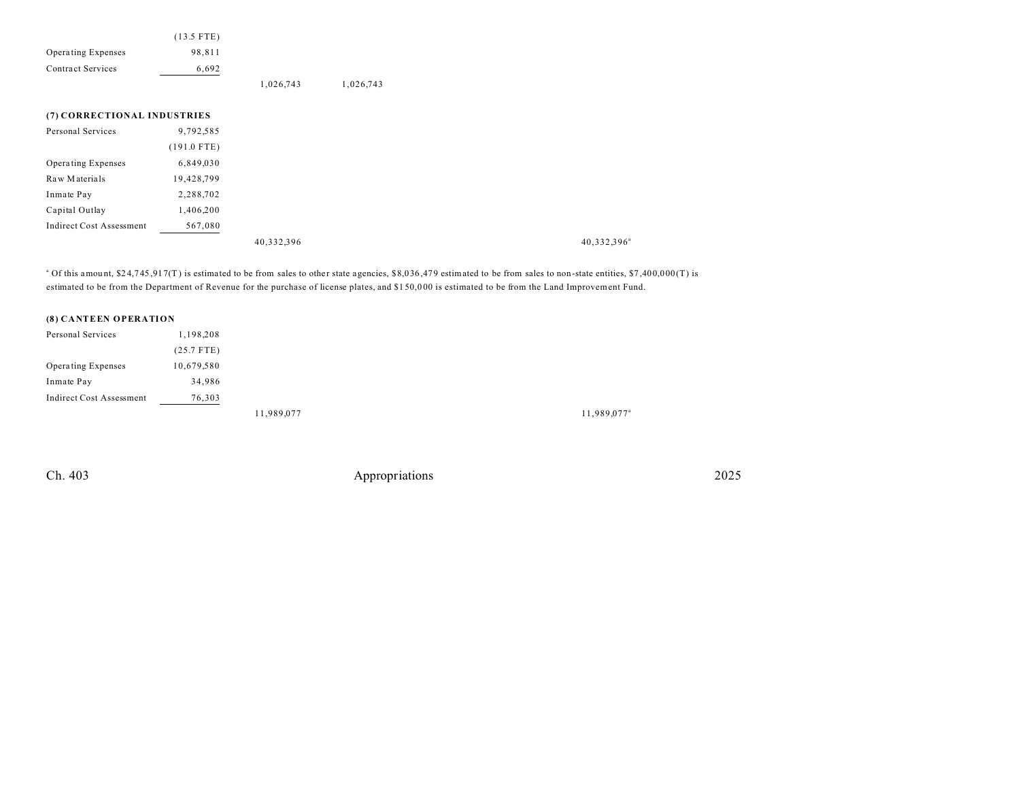|                                 | $(13.5$ FTE)  |            |           |
|---------------------------------|---------------|------------|-----------|
| Operating Expenses              | 98,811        |            |           |
| <b>Contract Services</b>        | 6,692         |            |           |
|                                 |               | 1,026,743  | 1,026,743 |
| (7) CORRECTIONAL INDUSTRIES     |               |            |           |
|                                 |               |            |           |
| Personal Services               | 9,792,585     |            |           |
|                                 | $(191.0$ FTE) |            |           |
| Operating Expenses              | 6,849,030     |            |           |
| Raw Materials                   | 19,428,799    |            |           |
| Inmate Pay                      | 2,288,702     |            |           |
| Capital Outlay                  | 1,406,200     |            |           |
| <b>Indirect Cost Assessment</b> | 567,080       |            |           |
|                                 |               | 40,332,396 |           |

 $^{\circ}$  Of this amount, \$24,745,917(T) is estimated to be from sales to other state agencies, \$8,036,479 estimated to be from sales to non-state entities, \$7,400,000(T) is estimated to be from the Department of Revenue for the purchase of license plates, and \$1 50,0 00 is estimated to be from the Land Improvement Fund.

#### **(8) CANTEEN OPERATION**

| Personal Services        | 1,198,208    |            |  |
|--------------------------|--------------|------------|--|
|                          | $(25.7$ FTE) |            |  |
| Operating Expenses       | 10,679,580   |            |  |
| Inmate Pay               | 34,986       |            |  |
| Indirect Cost Assessment | 76,303       |            |  |
|                          |              | 11,989,077 |  |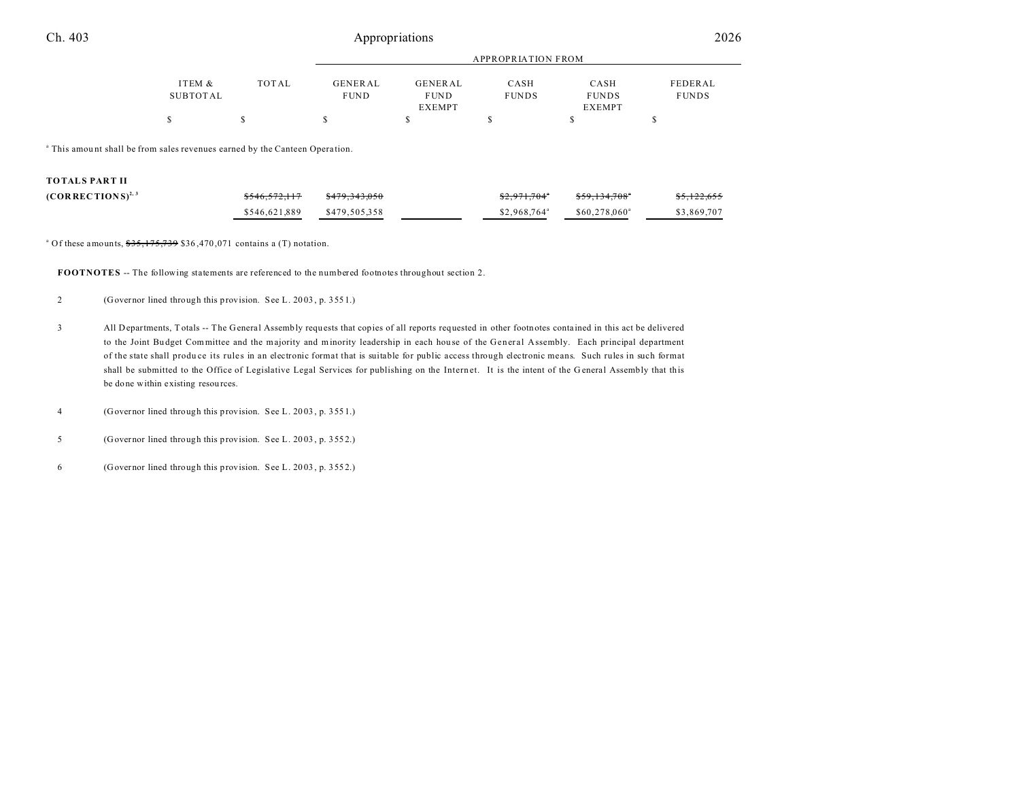|          |       | <b>APPROPRIATION FROM</b> |               |              |               |              |
|----------|-------|---------------------------|---------------|--------------|---------------|--------------|
| ITEM &   | TOTAL | <b>GENERAL</b>            | GENERAL       | CASH         | CASH          | FEDERAL      |
| SUBTOTAL |       | <b>FUND</b>               | <b>FUND</b>   | <b>FUNDS</b> | <b>FUNDS</b>  | <b>FUNDS</b> |
|          |       |                           | <b>EXEMPT</b> |              | <b>EXEMPT</b> |              |
|          |       |                           |               |              |               |              |
|          |       |                           |               |              |               |              |

<sup>a</sup> This amount shall be from sales revenues earned by the Canteen Operation.

|  |  | TOTALS PART II |  |  |  |  |
|--|--|----------------|--|--|--|--|
|--|--|----------------|--|--|--|--|

| $(CORRECTIONS)^{2,3}$ | \$546,572,117 | \$479.343.050 | <del>\$2,971,704</del> °  | <del>\$59,134,708</del> ° | <del>\$5,122,655</del> |
|-----------------------|---------------|---------------|---------------------------|---------------------------|------------------------|
|                       | \$546.621.889 | \$479.505.358 | $$2.968.764$ <sup>a</sup> | \$60,278,060 <sup>a</sup> | \$3,869,707            |

<sup>a</sup> Of these amounts,  $$35,175,739$  \$36,470,071 contains a (T) notation.

**FOOTNOTES** -- The following statements are referenced to the numbered footnotes throughout section 2.

- 2 (Governor lined through this provision. See L. 20 03 , p. 355 1.)
- 3 All Departments, T otals -- The General Assembly requ ests that copies of all reports requested in other footnotes conta ined in this act be delivered to the Joint Bu dget Committee and the majority and minority leadership in each hou se of the General Assembly. Each principal department of the state shall produce its rules in an electronic format that is suitable for public access through electronic means. Such rules in such format shall be submitted to the Office of Legislative Legal Services for publishing on the Internet. It is the intent of the General Assembly that this be done within existing resources.
- 4 (Governor lined through this provision. See L. 20 03 , p. 355 1.)
- 5 (Governor lined through this provision. See L. 20 03 , p. 355 2.)
- 6 (Governor lined through this provision. See L. 20 03 , p. 355 2.)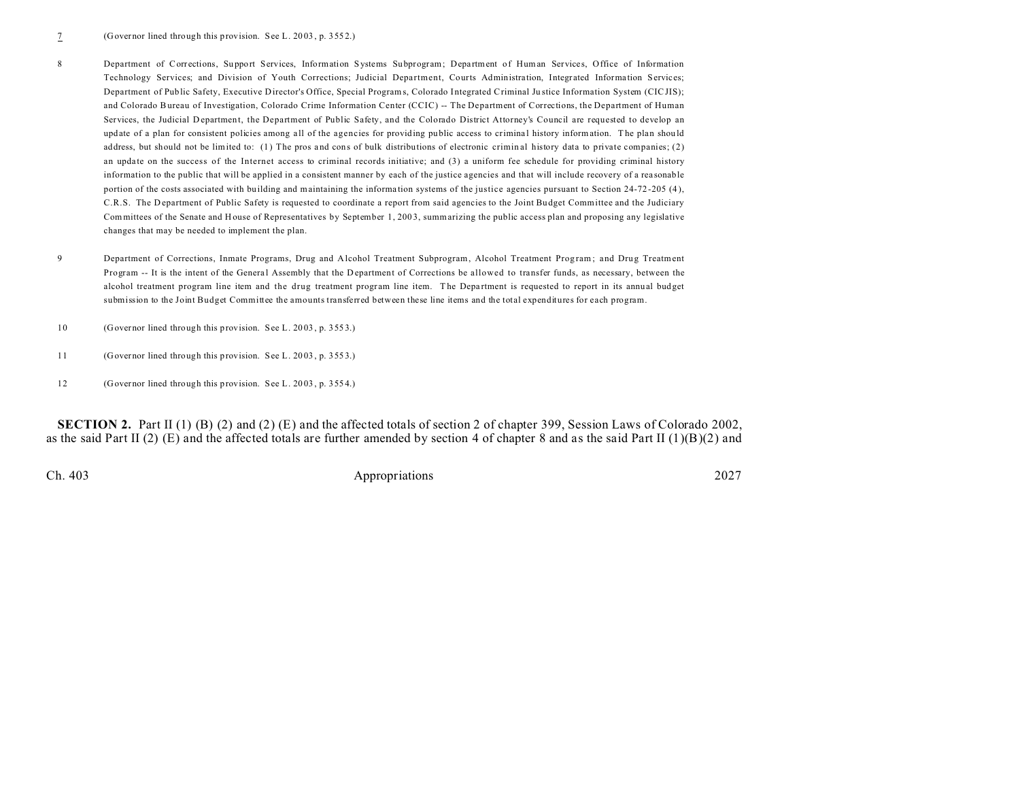- 8 Department of Corrections, Support Services, Information Systems Subprogram; Department of Human Services, Office of Information Technology Services; and Division of Youth Corrections; Judicial Department, Courts Administration, Integrated Information Services; Department of Public Safety, Executive Director's Office, Special Programs, Colorado Integrated Criminal Ju stice Information System (CICJIS); and Colorado Bureau of Investigation, Colorado Crime Information Center (CCIC) -- The Department of Corrections, the Department of Human Services, the Judicial D epartment, the Department of Public Safety, and the Colorado District Attorney's Council are requested to develop an update of a plan for consistent policies among all of the agencies for providing public access to criminal history information. The plan should address, but should not be limited to: (1) The pros and cons of bulk distributions of electronic criminal history data to private companies; (2) an update on the success of the Internet access to criminal records initiative; and (3) a uniform fee schedule for providing criminal history information to the public that will be applied in a consistent manner by each of the justice agencies and that will include recovery of a rea sonable portion of the costs associated with building and maintaining the information systems of the justice agencies pursuant to Section 24-72-205 (4), C.R.S. The D epartment of Public Safety is requested to coordinate a report from said agencies to the Joint Bu dget Committee and the Judiciary Committees of the Senate and H ouse of Representatives by September 1, 2003, summarizing the public access plan and proposing any legislative changes that may be needed to implement the plan.
- 9 Department of Corrections, Inmate Programs, Drug and Alcohol Treatment Subprogram, Alcohol Treatment Program; and Drug Treatment Program -- It is the intent of the Genera l Assembly that the Department of Corrections be allowed to transfer funds, as necessary, between the alcohol treatment program line item and the drug treatment program line item. The Department is requested to report in its annual budget submission to the Joint Budget Committee the amounts transferred between these line items and the total expenditures for each program.
- 10 (Governor lined through this provision. See L. 20 03 , p. 355 3.)
- 11 (Governor lined through this provision. See L. 20 03 , p. 355 3.)
- 12 (Governor lined through this provision. See L. 20 03 , p. 355 4.)

**SECTION 2.** Part II (1) (B) (2) and (2) (E) and the affected totals of section 2 of chapter 399, Session Laws of Colorado 2002, as the said Part II (2) (E) and the affected totals are further amended by section 4 of chapter 8 and as the said Part II (1)(B)(2) and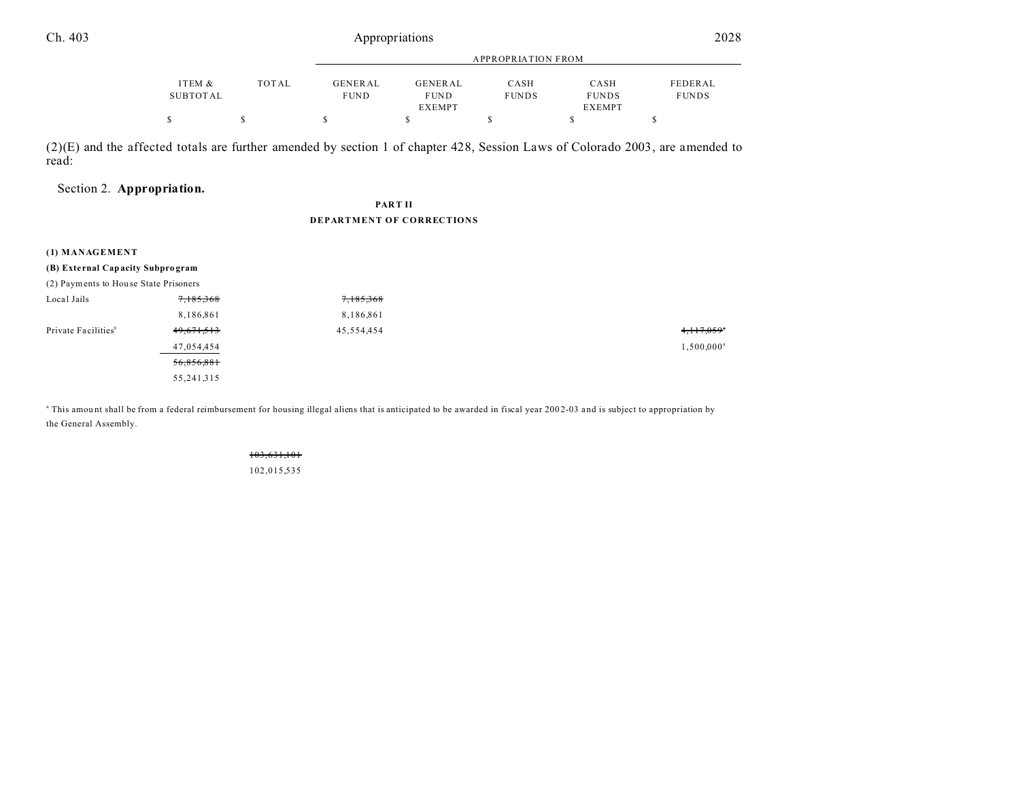|          |              | APPROPRIATION FROM |             |              |               |              |
|----------|--------------|--------------------|-------------|--------------|---------------|--------------|
|          |              |                    |             |              |               |              |
| ITEM &   | <b>TOTAL</b> | <b>GENERAL</b>     | GENERAL     | CASH         | CASH          | FEDERAL      |
| SUBTOTAL |              | <b>FUND</b>        | <b>FUND</b> | <b>FUNDS</b> | <b>FUNDS</b>  | <b>FUNDS</b> |
|          |              |                    | EXEMPT      |              | <b>EXEMPT</b> |              |
|          |              |                    |             |              |               |              |

(2)(E) and the affected totals are further amended by section 1 of chapter 428, Session Laws of Colorado 2003, are amended to read:

# Section 2. **Appropriation.**

### **PART II DEPARTMENT OF CORRECTIONS**

| (1) MANAGEMENT                        |              |            |           |
|---------------------------------------|--------------|------------|-----------|
| (B) External Capacity Subprogram      |              |            |           |
| (2) Payments to House State Prisoners |              |            |           |
| Local Jails                           | 7,185,368    | 7,185,368  |           |
|                                       | 8,186,861    | 8,186,861  |           |
| Private Facilities <sup>9</sup>       | 49,671,513   | 45,554,454 | 4,117,059 |
|                                       | 47,054,454   |            | 1,500,000 |
|                                       | 56,856,881   |            |           |
|                                       | 55, 241, 315 |            |           |

<sup>a</sup> This amount shall be from a federal reimbursement for housing illegal aliens that is anticipated to be awarded in fiscal year 2002-03 and is subject to appropriation by the General Assembly.

> 103,631,101 102,015,535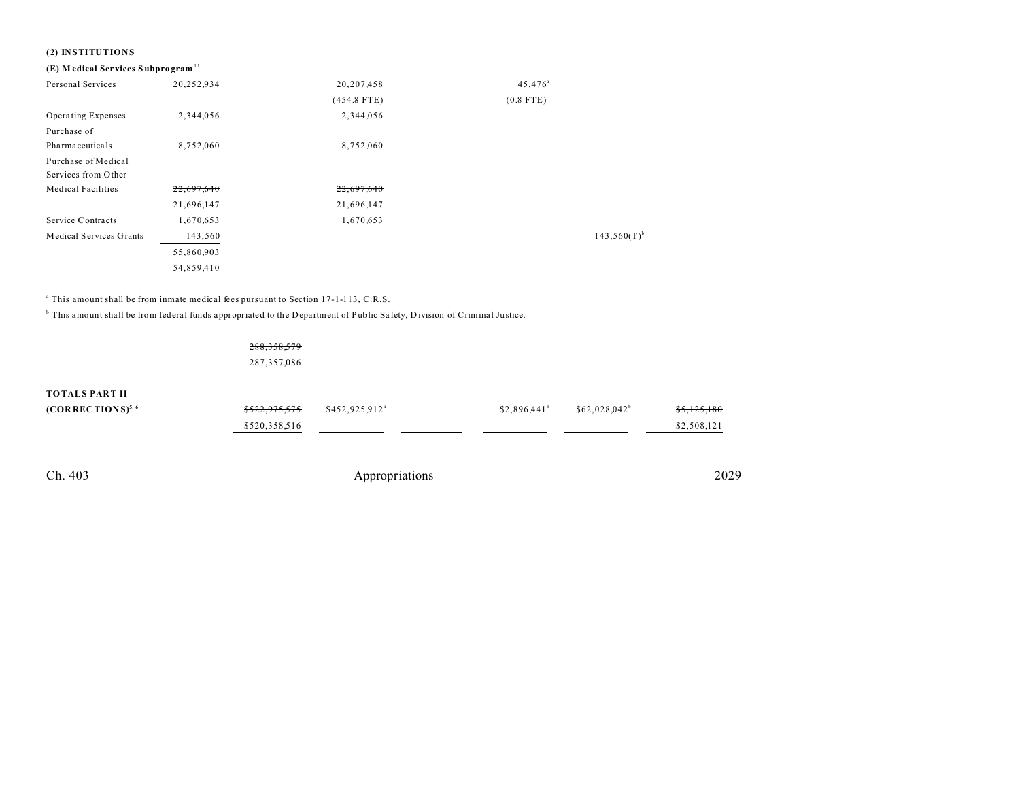# **(2) INSTITUTIONS**

# **(E) M edical Services Subpro gram** <sup>11</sup>

| Personal Services         | 20,252,934 | 20,207,458    | $45,476^{\circ}$ |                  |
|---------------------------|------------|---------------|------------------|------------------|
|                           |            | $(454.8$ FTE) | $(0.8$ FTE)      |                  |
| Operating Expenses        | 2,344,056  | 2,344,056     |                  |                  |
| Purchase of               |            |               |                  |                  |
| Pharmaceuticals           | 8,752,060  | 8,752,060     |                  |                  |
| Purchase of Medical       |            |               |                  |                  |
| Services from Other       |            |               |                  |                  |
| <b>Medical Facilities</b> | 22,697,640 | 22,697,640    |                  |                  |
|                           | 21,696,147 | 21,696,147    |                  |                  |
| Service Contracts         | 1,670,653  | 1,670,653     |                  |                  |
| Medical Services Grants   | 143,560    |               |                  | $143,560(T)^{b}$ |
|                           | 55,860,903 |               |                  |                  |
|                           | 54,859,410 |               |                  |                  |

<sup>a</sup> This amount shall be from inmate medical fees pursuant to Section 17-1-113, C.R.S.

<sup>b</sup> This amount shall be from federal funds appropriated to the Department of Public Safety, Division of Criminal Justice.

288,358,579 287,357,086

| <del>\$522,975,575</del> | \$452,925,912 <sup>a</sup> | \$2.896.441 <sup>b</sup> | $$62.028.042^b$ | \$5,125,180 |
|--------------------------|----------------------------|--------------------------|-----------------|-------------|
| \$520,358,516            |                            |                          |                 | \$2,508,121 |
|                          |                            |                          |                 |             |
|                          |                            |                          |                 |             |